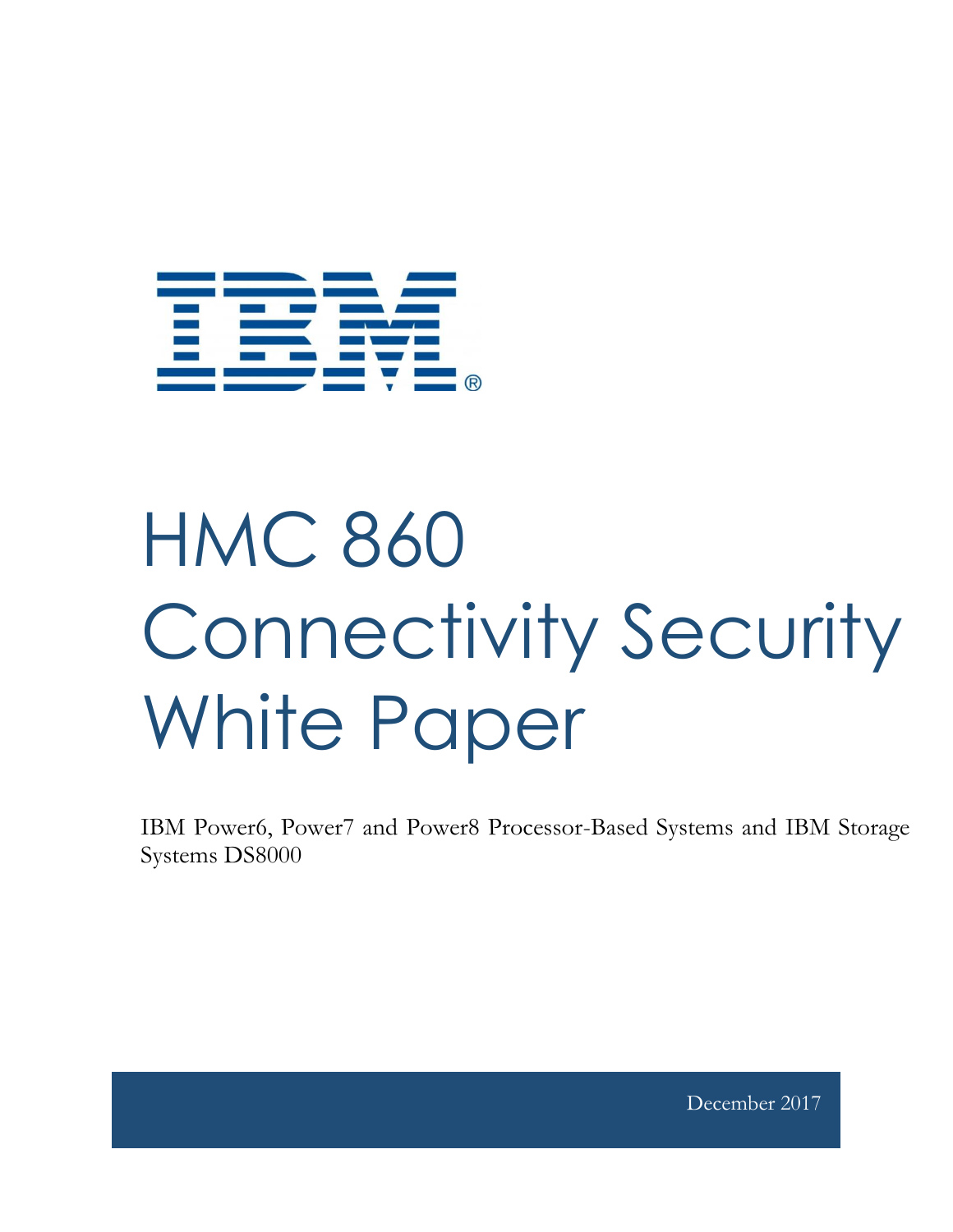

# HMC 860 Connectivity Security White Paper

IBM Power6, Power7 and Power8 Processor-Based Systems and IBM Storage Systems DS8000

December 2017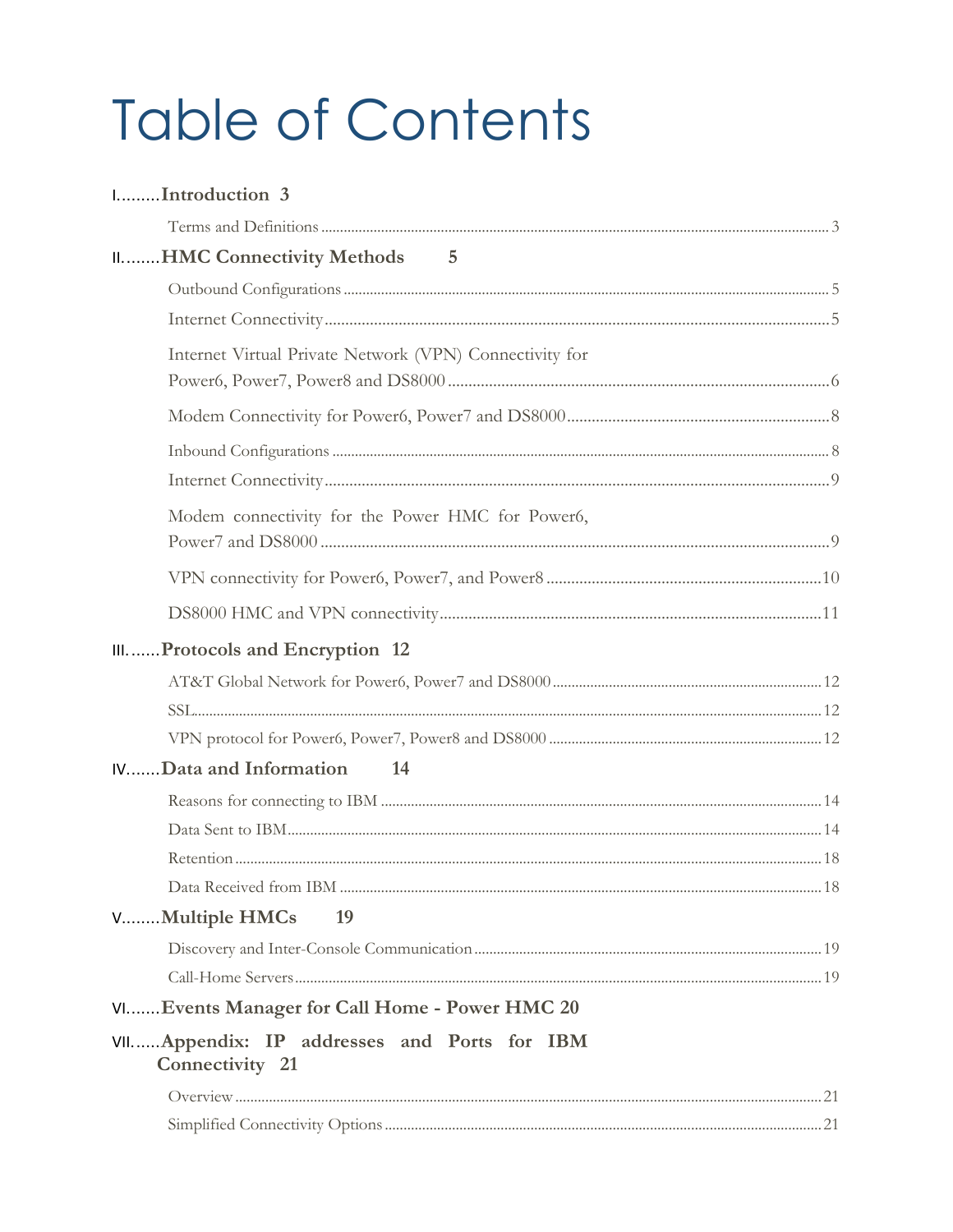## **Table of Contents**

| <b>1Introduction 3</b>                                         |  |
|----------------------------------------------------------------|--|
|                                                                |  |
| <b>IIHMC Connectivity Methods</b><br>$\overline{5}$            |  |
|                                                                |  |
|                                                                |  |
| Internet Virtual Private Network (VPN) Connectivity for        |  |
|                                                                |  |
|                                                                |  |
|                                                                |  |
| Modem connectivity for the Power HMC for Power6,               |  |
|                                                                |  |
|                                                                |  |
| IIIProtocols and Encryption 12                                 |  |
|                                                                |  |
|                                                                |  |
|                                                                |  |
| IVData and Information<br>14                                   |  |
|                                                                |  |
|                                                                |  |
|                                                                |  |
|                                                                |  |
| <b>VMultiple HMCs</b><br>19                                    |  |
|                                                                |  |
|                                                                |  |
| VI Events Manager for Call Home - Power HMC 20                 |  |
| VIIAppendix: IP addresses and Ports for IBM<br>Connectivity 21 |  |
|                                                                |  |
|                                                                |  |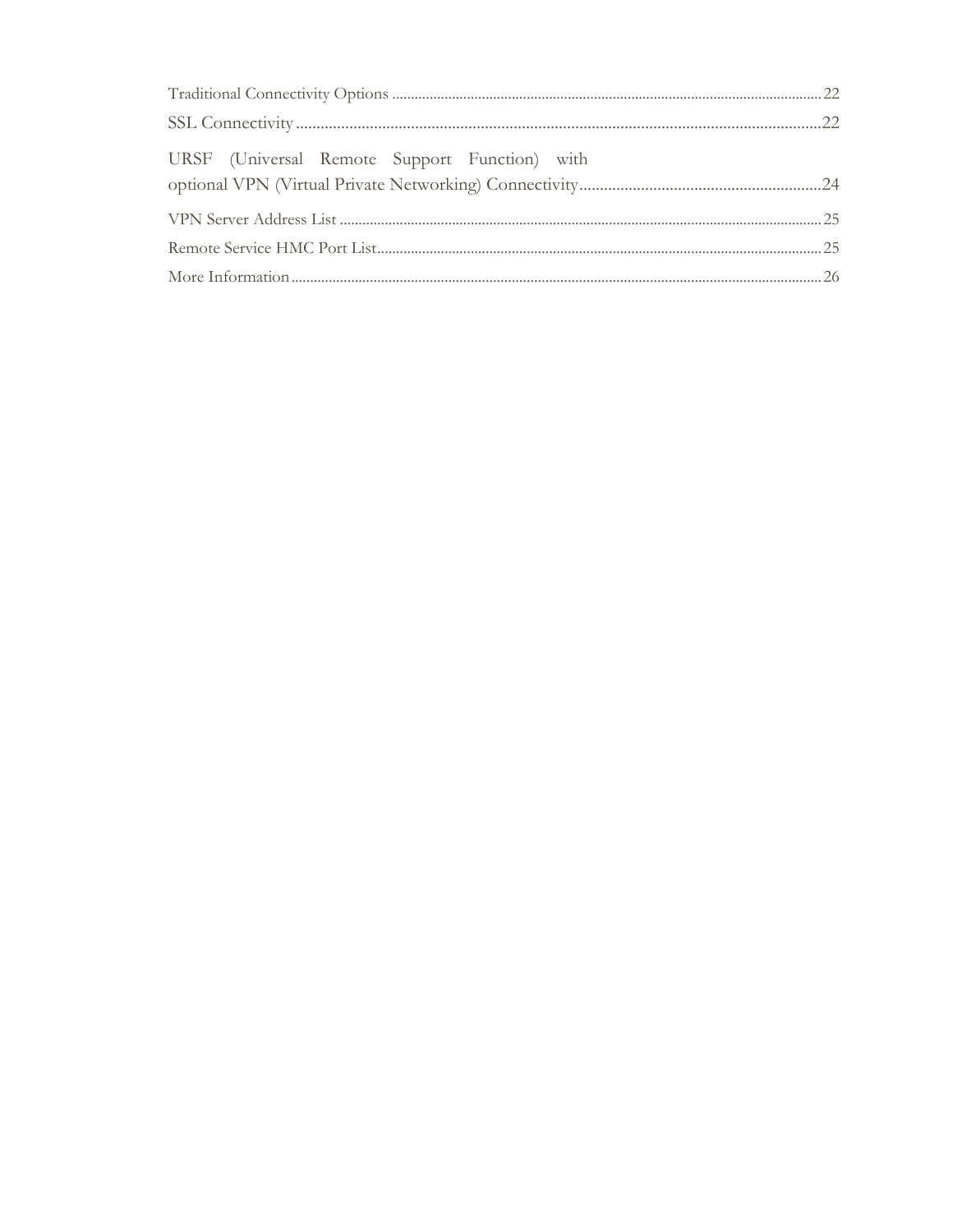| URSF (Universal Remote Support Function) with |  |
|-----------------------------------------------|--|
|                                               |  |
|                                               |  |
|                                               |  |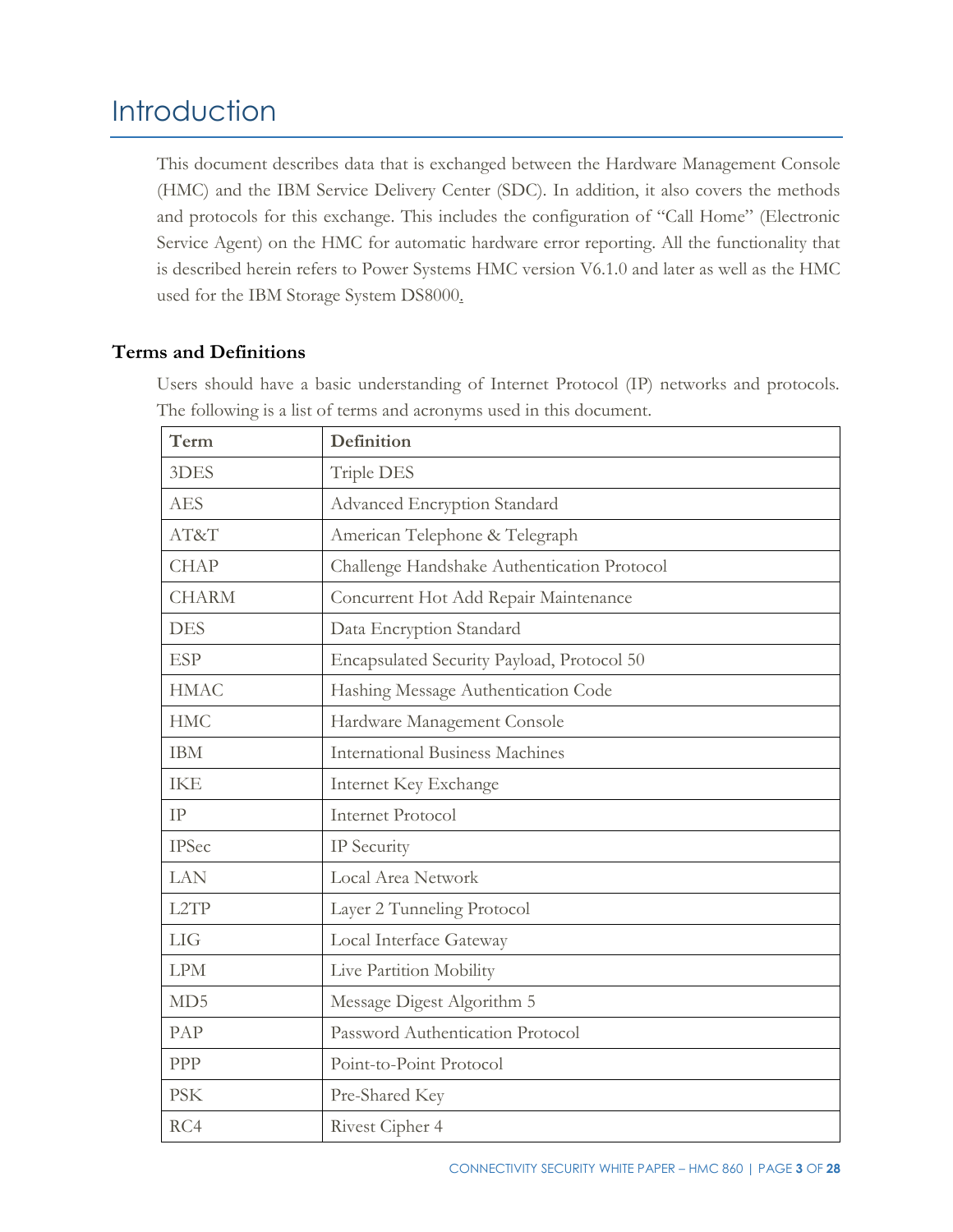## <span id="page-3-0"></span>**Introduction**

This document describes data that is exchanged between the Hardware Management Console (HMC) and the IBM Service Delivery Center (SDC). In addition, it also covers the methods and protocols for this exchange. This includes the configuration of "Call Home" (Electronic Service Agent) on the HMC for automatic hardware error reporting. All the functionality that is described herein refers to Power Systems HMC version V6.1.0 and later as well as the HMC used for the IBM Storage System DS8000.

#### <span id="page-3-1"></span>**Terms and Definitions**

Users should have a basic understanding of Internet Protocol (IP) networks and protocols. The following is a list of terms and acronyms used in this document.

| Term         | Definition                                  |  |  |  |
|--------------|---------------------------------------------|--|--|--|
| 3DES         | Triple DES                                  |  |  |  |
| <b>AES</b>   | Advanced Encryption Standard                |  |  |  |
| AT&T         | American Telephone & Telegraph              |  |  |  |
| <b>CHAP</b>  | Challenge Handshake Authentication Protocol |  |  |  |
| <b>CHARM</b> | Concurrent Hot Add Repair Maintenance       |  |  |  |
| <b>DES</b>   | Data Encryption Standard                    |  |  |  |
| <b>ESP</b>   | Encapsulated Security Payload, Protocol 50  |  |  |  |
| <b>HMAC</b>  | Hashing Message Authentication Code         |  |  |  |
| <b>HMC</b>   | Hardware Management Console                 |  |  |  |
| <b>IBM</b>   | <b>International Business Machines</b>      |  |  |  |
| <b>IKE</b>   | Internet Key Exchange                       |  |  |  |
| IP           | <b>Internet Protocol</b>                    |  |  |  |
| <b>IPSec</b> | IP Security                                 |  |  |  |
| LAN          | Local Area Network                          |  |  |  |
| L2TP         | Layer 2 Tunneling Protocol                  |  |  |  |
| LIG          | Local Interface Gateway                     |  |  |  |
| <b>LPM</b>   | Live Partition Mobility                     |  |  |  |
| MD5          | Message Digest Algorithm 5                  |  |  |  |
| PAP          | Password Authentication Protocol            |  |  |  |
| <b>PPP</b>   | Point-to-Point Protocol                     |  |  |  |
| <b>PSK</b>   | Pre-Shared Key                              |  |  |  |
| RC4          | Rivest Cipher 4                             |  |  |  |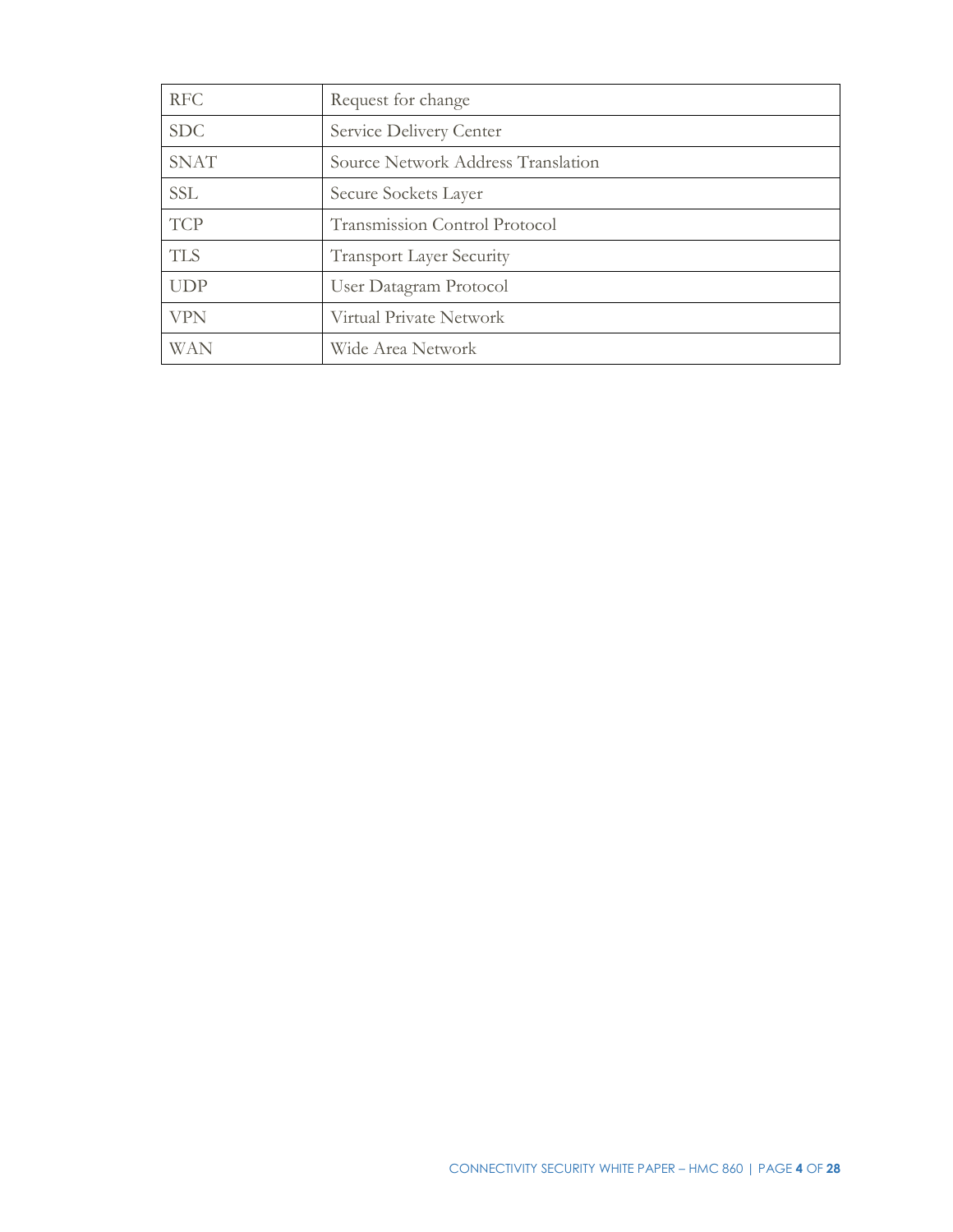| <b>RFC</b>  | Request for change                 |  |  |  |
|-------------|------------------------------------|--|--|--|
| <b>SDC</b>  | Service Delivery Center            |  |  |  |
| <b>SNAT</b> | Source Network Address Translation |  |  |  |
| <b>SSL</b>  | Secure Sockets Layer               |  |  |  |
| <b>TCP</b>  | Transmission Control Protocol      |  |  |  |
| <b>TLS</b>  | <b>Transport Layer Security</b>    |  |  |  |
| <b>UDP</b>  | User Datagram Protocol             |  |  |  |
| <b>VPN</b>  | Virtual Private Network            |  |  |  |
| WAN         | Wide Area Network                  |  |  |  |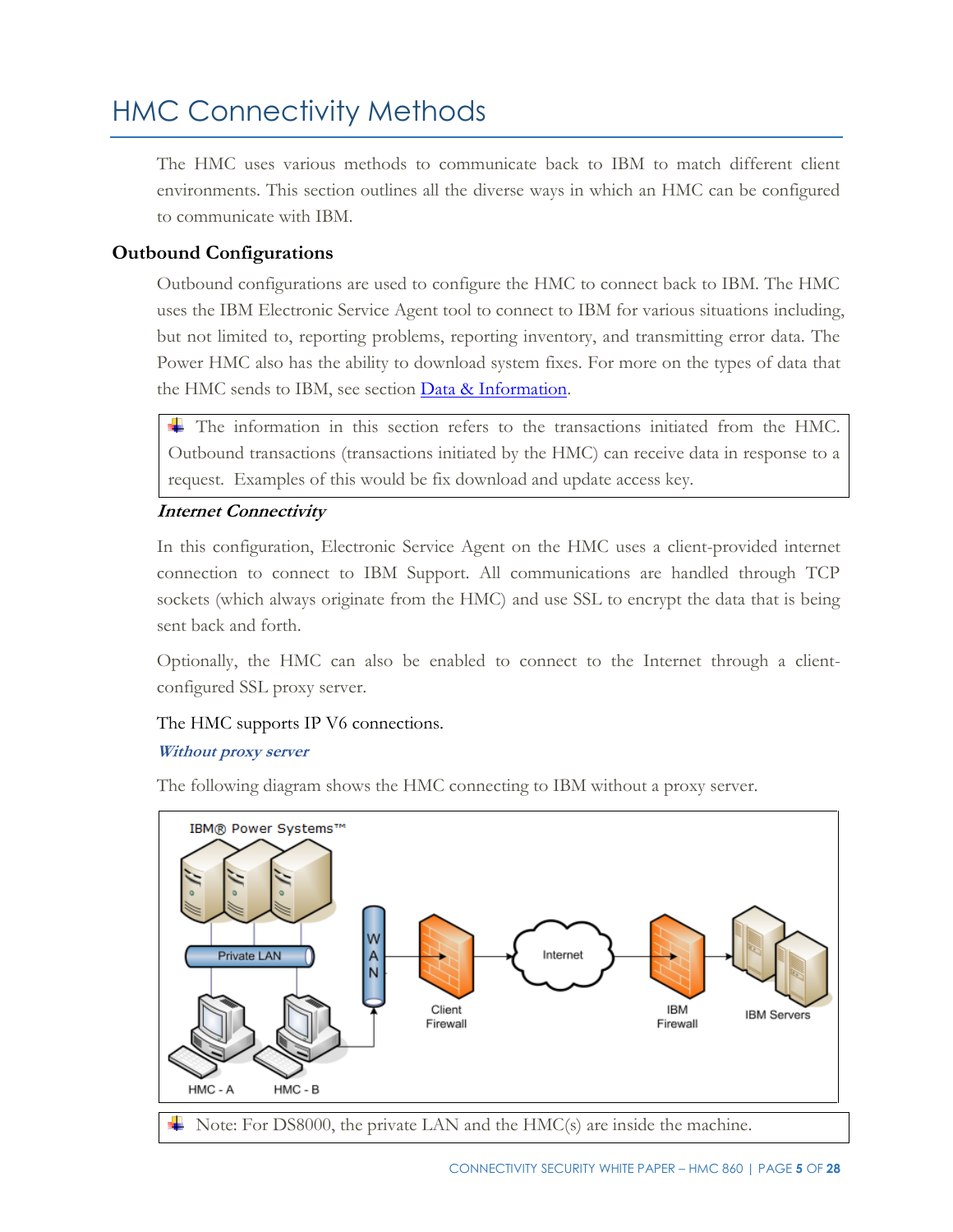## <span id="page-5-0"></span>HMC Connectivity Methods

The HMC uses various methods to communicate back to IBM to match different client environments. This section outlines all the diverse ways in which an HMC can be configured to communicate with IBM.

#### <span id="page-5-1"></span>**Outbound Configurations**

Outbound configurations are used to configure the HMC to connect back to IBM. The HMC uses the IBM Electronic Service Agent tool to connect to IBM for various situations including, but not limited to, reporting problems, reporting inventory, and transmitting error data. The Power HMC also has the ability to download system fixes. For more on the types of data that the HMC sends to IBM, see section [Data & Information.](#page-14-0)

The information in this section refers to the transactions initiated from the HMC. Outbound transactions (transactions initiated by the HMC) can receive data in response to a request. Examples of this would be fix download and update access key.

#### <span id="page-5-2"></span>**Internet Connectivity**

In this configuration, Electronic Service Agent on the HMC uses a client-provided internet connection to connect to IBM Support. All communications are handled through TCP sockets (which always originate from the HMC) and use SSL to encrypt the data that is being sent back and forth.

Optionally, the HMC can also be enabled to connect to the Internet through a clientconfigured SSL proxy server.

#### The HMC supports IP V6 connections.

#### <span id="page-5-3"></span>**Without proxy server**

The following diagram shows the HMC connecting to IBM without a proxy server.



Note: For DS8000, the private LAN and the HMC(s) are inside the machine.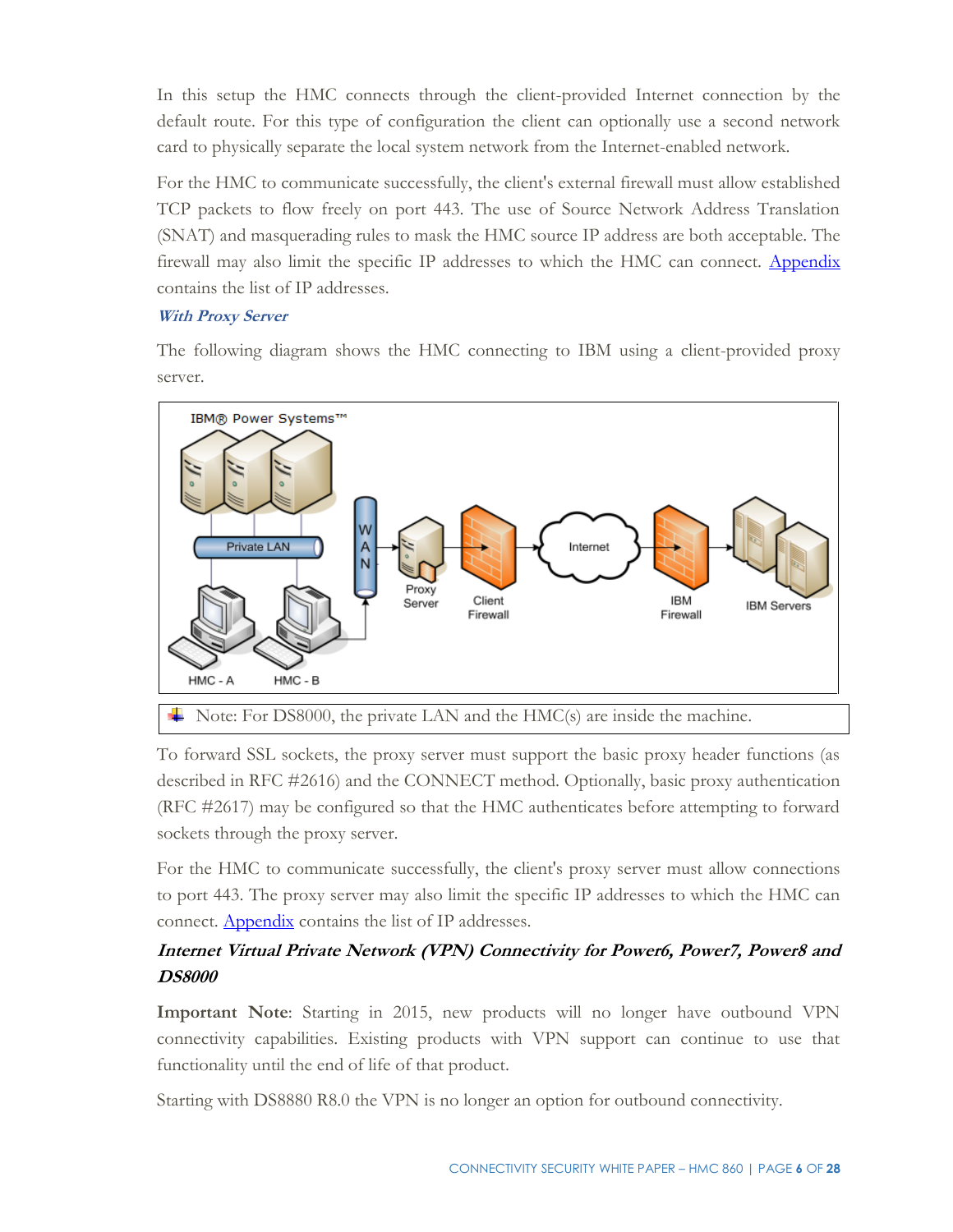In this setup the HMC connects through the client-provided Internet connection by the default route. For this type of configuration the client can optionally use a second network card to physically separate the local system network from the Internet-enabled network.

For the HMC to communicate successfully, the client's external firewall must allow established TCP packets to flow freely on port 443. The use of Source Network Address Translation (SNAT) and masquerading rules to mask the HMC source IP address are both acceptable. The firewall may also limit the specific IP addresses to which the HMC can connect. [Appendix](#page-21-0) contains the list of IP addresses.

#### **With Proxy Server**

The following diagram shows the HMC connecting to IBM using a client-provided proxy server.



Note: For DS8000, the private LAN and the HMC(s) are inside the machine.

To forward SSL sockets, the proxy server must support the basic proxy header functions (as described in RFC #2616) and the CONNECT method. Optionally, basic proxy authentication (RFC #2617) may be configured so that the HMC authenticates before attempting to forward sockets through the proxy server.

For the HMC to communicate successfully, the client's proxy server must allow connections to port 443. The proxy server may also limit the specific IP addresses to which the HMC can connect. [Appendix](#page-21-0) contains the list of IP addresses.

#### <span id="page-6-0"></span>**Internet Virtual Private Network (VPN) Connectivity for Power6, Power7, Power8 and DS8000**

**Important Note**: Starting in 2015, new products will no longer have outbound VPN connectivity capabilities. Existing products with VPN support can continue to use that functionality until the end of life of that product.

Starting with DS8880 R8.0 the VPN is no longer an option for outbound connectivity.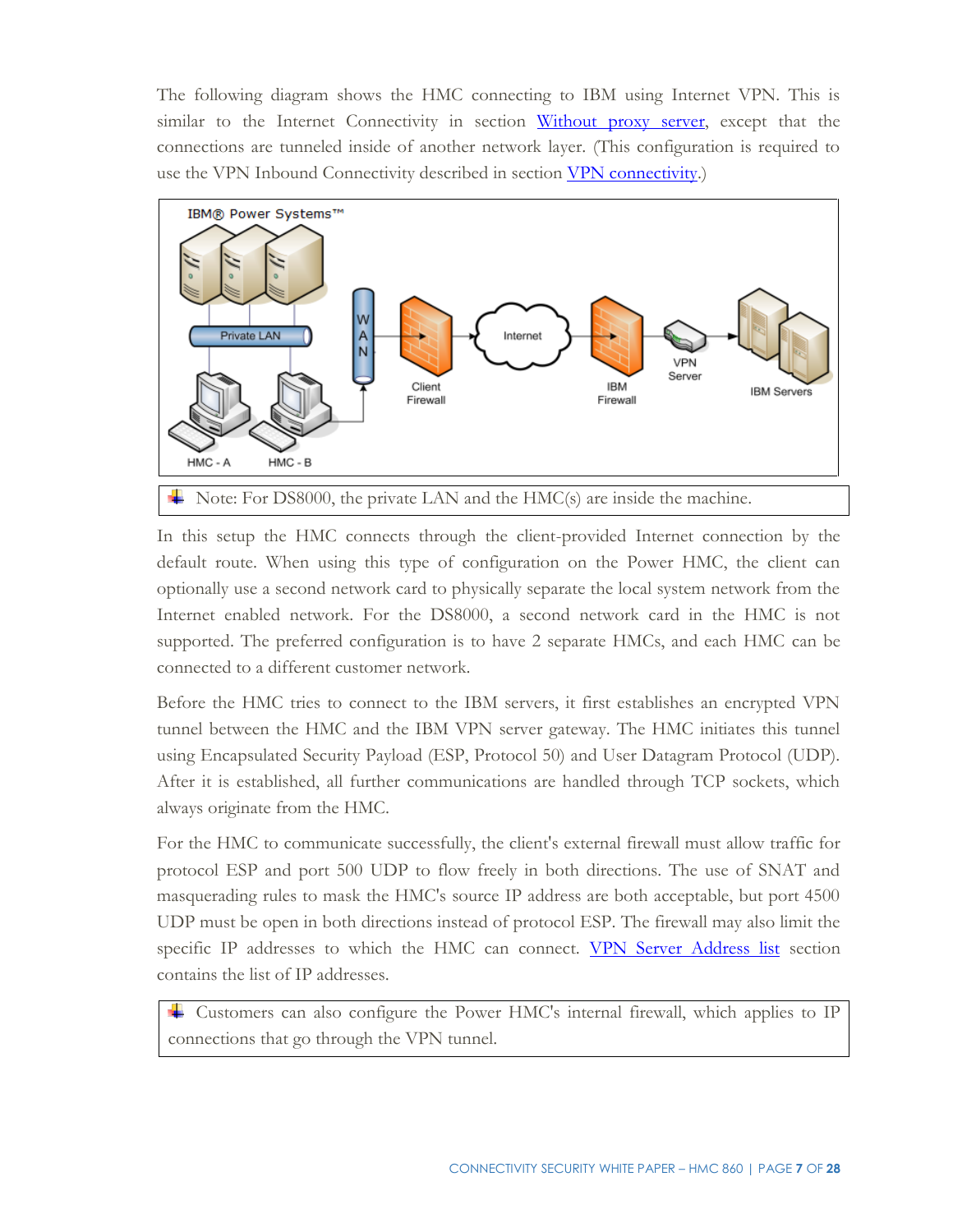The following diagram shows the HMC connecting to IBM using Internet VPN. This is similar to the Internet Connectivity in section [Without proxy server,](#page-5-3) except that the connections are tunneled inside of another network layer. (This configuration is required to use the VPN Inbound Connectivity described in section [VPN connectivity.](#page-10-0))



Note: For DS8000, the private LAN and the  $HMC(s)$  are inside the machine.

In this setup the HMC connects through the client-provided Internet connection by the default route. When using this type of configuration on the Power HMC, the client can optionally use a second network card to physically separate the local system network from the Internet enabled network. For the DS8000, a second network card in the HMC is not supported. The preferred configuration is to have 2 separate HMCs, and each HMC can be connected to a different customer network.

Before the HMC tries to connect to the IBM servers, it first establishes an encrypted VPN tunnel between the HMC and the IBM VPN server gateway. The HMC initiates this tunnel using Encapsulated Security Payload (ESP, Protocol 50) and User Datagram Protocol (UDP). After it is established, all further communications are handled through TCP sockets, which always originate from the HMC.

For the HMC to communicate successfully, the client's external firewall must allow traffic for protocol ESP and port 500 UDP to flow freely in both directions. The use of SNAT and masquerading rules to mask the HMC's source IP address are both acceptable, but port 4500 UDP must be open in both directions instead of protocol ESP. The firewall may also limit the specific IP addresses to which the HMC can connect. [VPN Server Address list](#page-25-0) section contains the list of IP addresses.

Customers can also configure the Power HMC's internal firewall, which applies to IP connections that go through the VPN tunnel.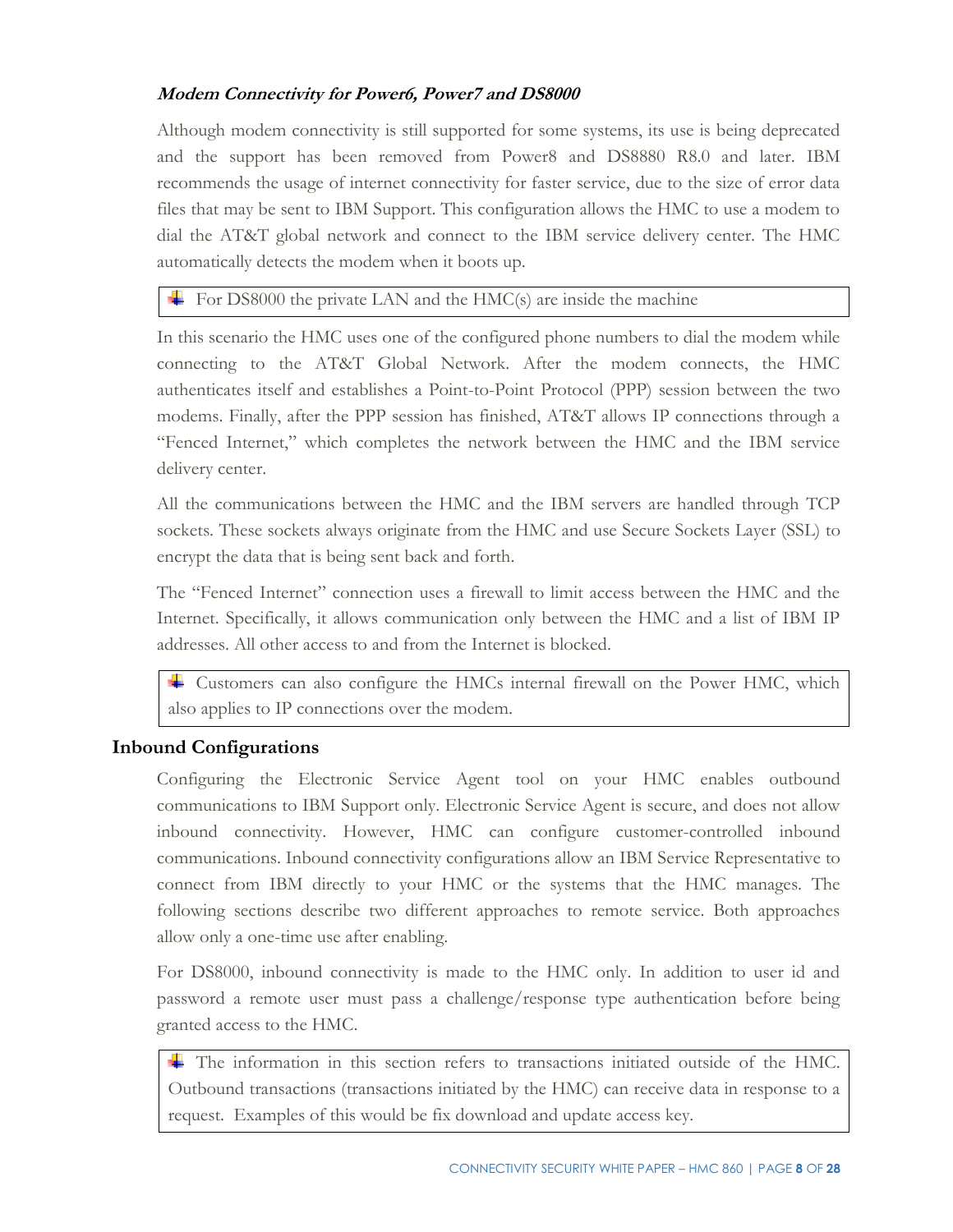#### <span id="page-8-0"></span>**Modem Connectivity for Power6, Power7 and DS8000**

Although modem connectivity is still supported for some systems, its use is being deprecated and the support has been removed from Power8 and DS8880 R8.0 and later. IBM recommends the usage of internet connectivity for faster service, due to the size of error data files that may be sent to IBM Support. This configuration allows the HMC to use a modem to dial the AT&T global network and connect to the IBM service delivery center. The HMC automatically detects the modem when it boots up.

#### $\overline{\text{F}}$  For DS8000 the private LAN and the HMC(s) are inside the machine

In this scenario the HMC uses one of the configured phone numbers to dial the modem while connecting to the AT&T Global Network. After the modem connects, the HMC authenticates itself and establishes a Point-to-Point Protocol (PPP) session between the two modems. Finally, after the PPP session has finished, AT&T allows IP connections through a "Fenced Internet," which completes the network between the HMC and the IBM service delivery center.

All the communications between the HMC and the IBM servers are handled through TCP sockets. These sockets always originate from the HMC and use Secure Sockets Layer (SSL) to encrypt the data that is being sent back and forth.

The "Fenced Internet" connection uses a firewall to limit access between the HMC and the Internet. Specifically, it allows communication only between the HMC and a list of IBM IP addresses. All other access to and from the Internet is blocked.

Customers can also configure the HMCs internal firewall on the Power HMC, which also applies to IP connections over the modem.

#### <span id="page-8-1"></span>**Inbound Configurations**

Configuring the Electronic Service Agent tool on your HMC enables outbound communications to IBM Support only. Electronic Service Agent is secure, and does not allow inbound connectivity. However, HMC can configure customer-controlled inbound communications. Inbound connectivity configurations allow an IBM Service Representative to connect from IBM directly to your HMC or the systems that the HMC manages. The following sections describe two different approaches to remote service. Both approaches allow only a one-time use after enabling.

For DS8000, inbound connectivity is made to the HMC only. In addition to user id and password a remote user must pass a challenge/response type authentication before being granted access to the HMC.

The information in this section refers to transactions initiated outside of the HMC. Outbound transactions (transactions initiated by the HMC) can receive data in response to a request. Examples of this would be fix download and update access key.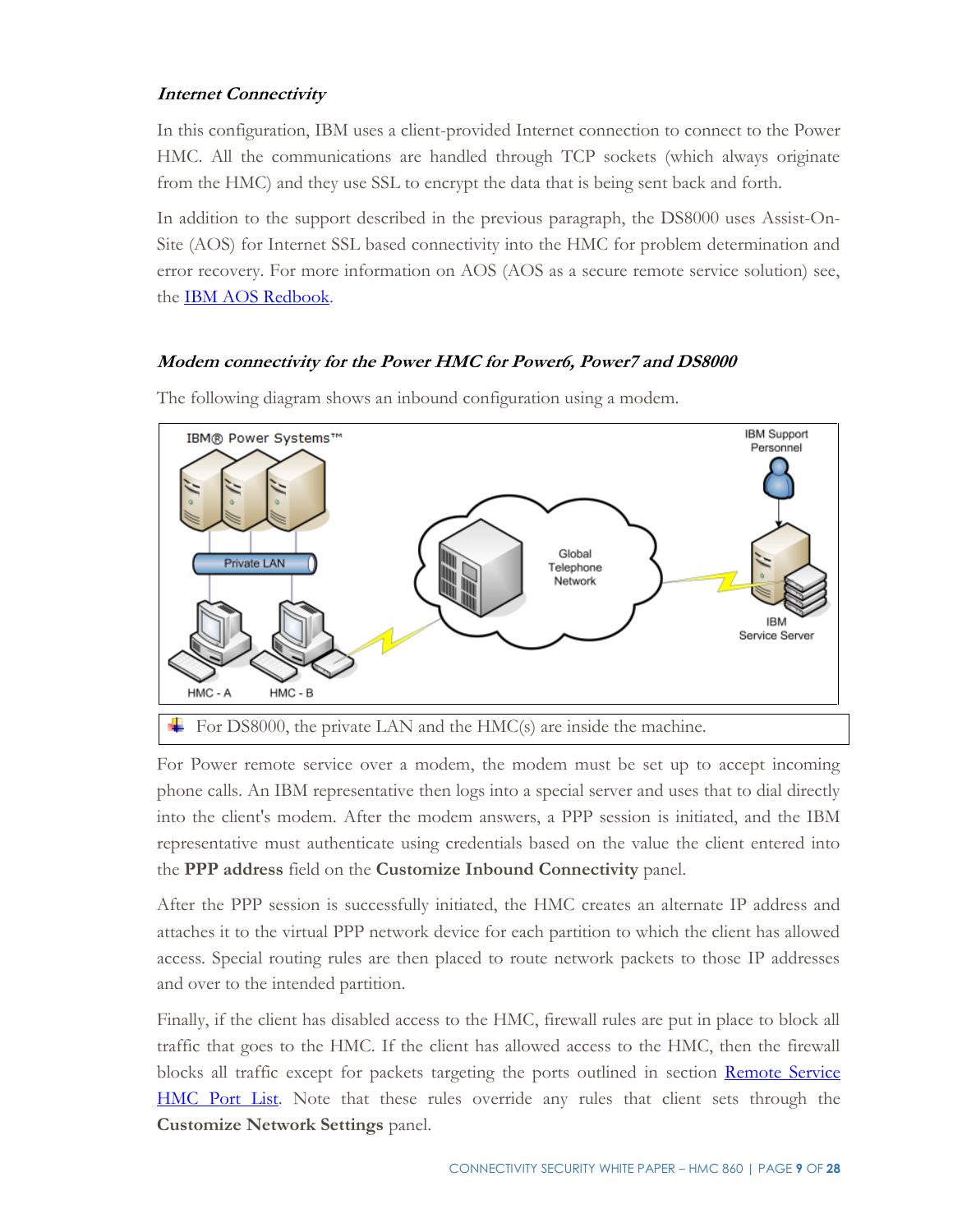#### <span id="page-9-0"></span>**Internet Connectivity**

In this configuration, IBM uses a client-provided Internet connection to connect to the Power HMC. All the communications are handled through TCP sockets (which always originate from the HMC) and they use SSL to encrypt the data that is being sent back and forth.

In addition to the support described in the previous paragraph, the DS8000 uses Assist-On-Site (AOS) for Internet SSL based connectivity into the HMC for problem determination and error recovery. For more information on AOS (AOS as a secure remote service solution) see, the [IBM AOS Redbook.](http://www.redbooks.ibm.com/redpieces/abstracts/redp4889.html?Open)

#### <span id="page-9-1"></span>**Modem connectivity for the Power HMC for Power6, Power7 and DS8000**



The following diagram shows an inbound configuration using a modem.

For Power remote service over a modem, the modem must be set up to accept incoming phone calls. An IBM representative then logs into a special server and uses that to dial directly into the client's modem. After the modem answers, a PPP session is initiated, and the IBM representative must authenticate using credentials based on the value the client entered into the **PPP address** field on the **Customize Inbound Connectivity** panel.

After the PPP session is successfully initiated, the HMC creates an alternate IP address and attaches it to the virtual PPP network device for each partition to which the client has allowed access. Special routing rules are then placed to route network packets to those IP addresses and over to the intended partition.

Finally, if the client has disabled access to the HMC, firewall rules are put in place to block all traffic that goes to the HMC. If the client has allowed access to the HMC, then the firewall blocks all traffic except for packets targeting the ports outlined in section [Remote Service](#page-25-1)  [HMC Port List.](#page-25-1) Note that these rules override any rules that client sets through the **Customize Network Settings** panel.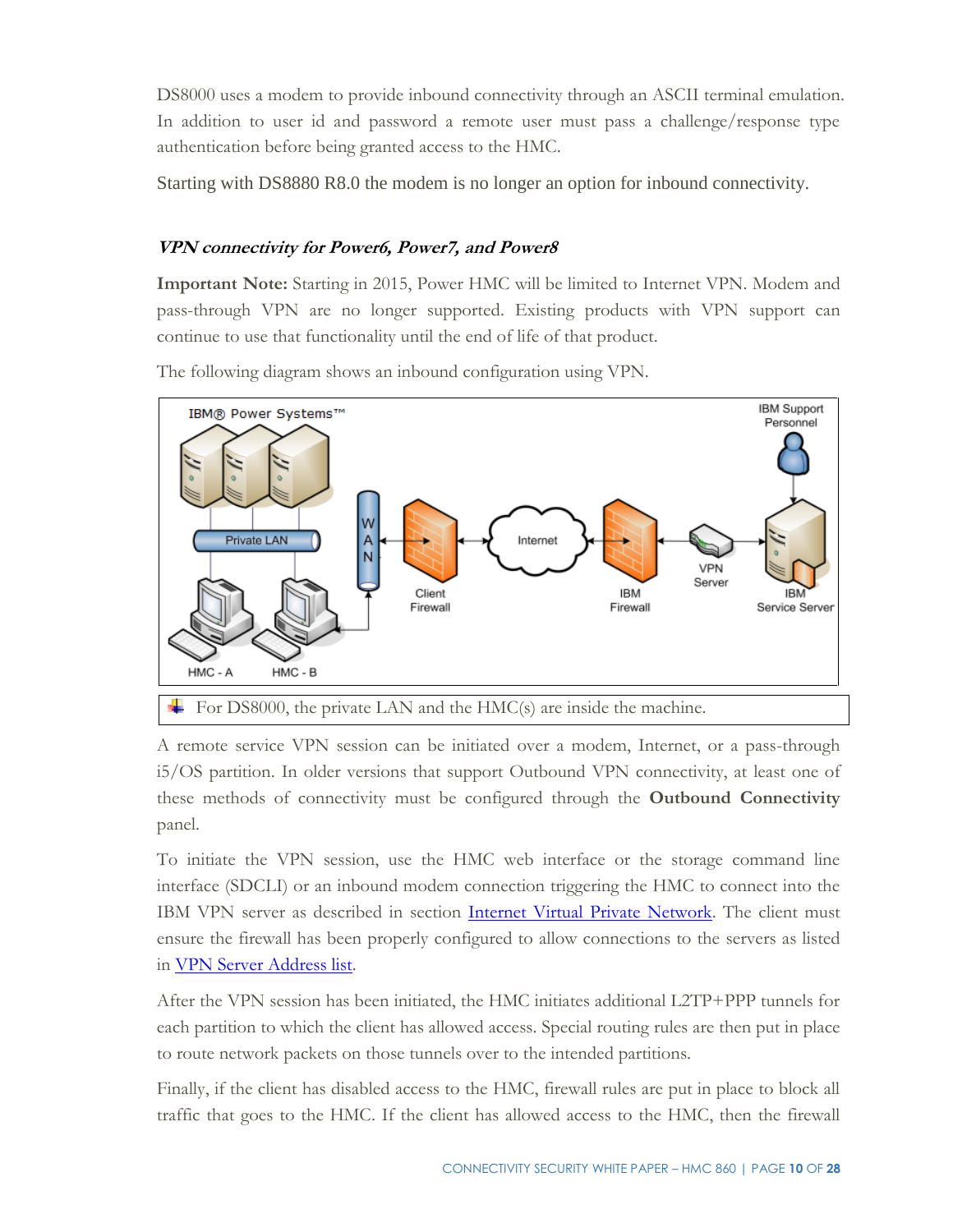DS8000 uses a modem to provide inbound connectivity through an ASCII terminal emulation. In addition to user id and password a remote user must pass a challenge/response type authentication before being granted access to the HMC.

Starting with DS8880 R8.0 the modem is no longer an option for inbound connectivity.

#### <span id="page-10-0"></span>**VPN connectivity for Power6, Power7, and Power8**

**Important Note:** Starting in 2015, Power HMC will be limited to Internet VPN. Modem and pass-through VPN are no longer supported. Existing products with VPN support can continue to use that functionality until the end of life of that product.

The following diagram shows an inbound configuration using VPN.





A remote service VPN session can be initiated over a modem, Internet, or a pass-through i5/OS partition. In older versions that support Outbound VPN connectivity, at least one of these methods of connectivity must be configured through the **Outbound Connectivity** panel.

To initiate the VPN session, use the HMC web interface or the storage command line interface (SDCLI) or an inbound modem connection triggering the HMC to connect into the IBM VPN server as described in section [Internet Virtual Private Network.](#page-6-0) The client must ensure the firewall has been properly configured to allow connections to the servers as listed in [VPN Server Address list.](#page-25-0)

After the VPN session has been initiated, the HMC initiates additional L2TP+PPP tunnels for each partition to which the client has allowed access. Special routing rules are then put in place to route network packets on those tunnels over to the intended partitions.

Finally, if the client has disabled access to the HMC, firewall rules are put in place to block all traffic that goes to the HMC. If the client has allowed access to the HMC, then the firewall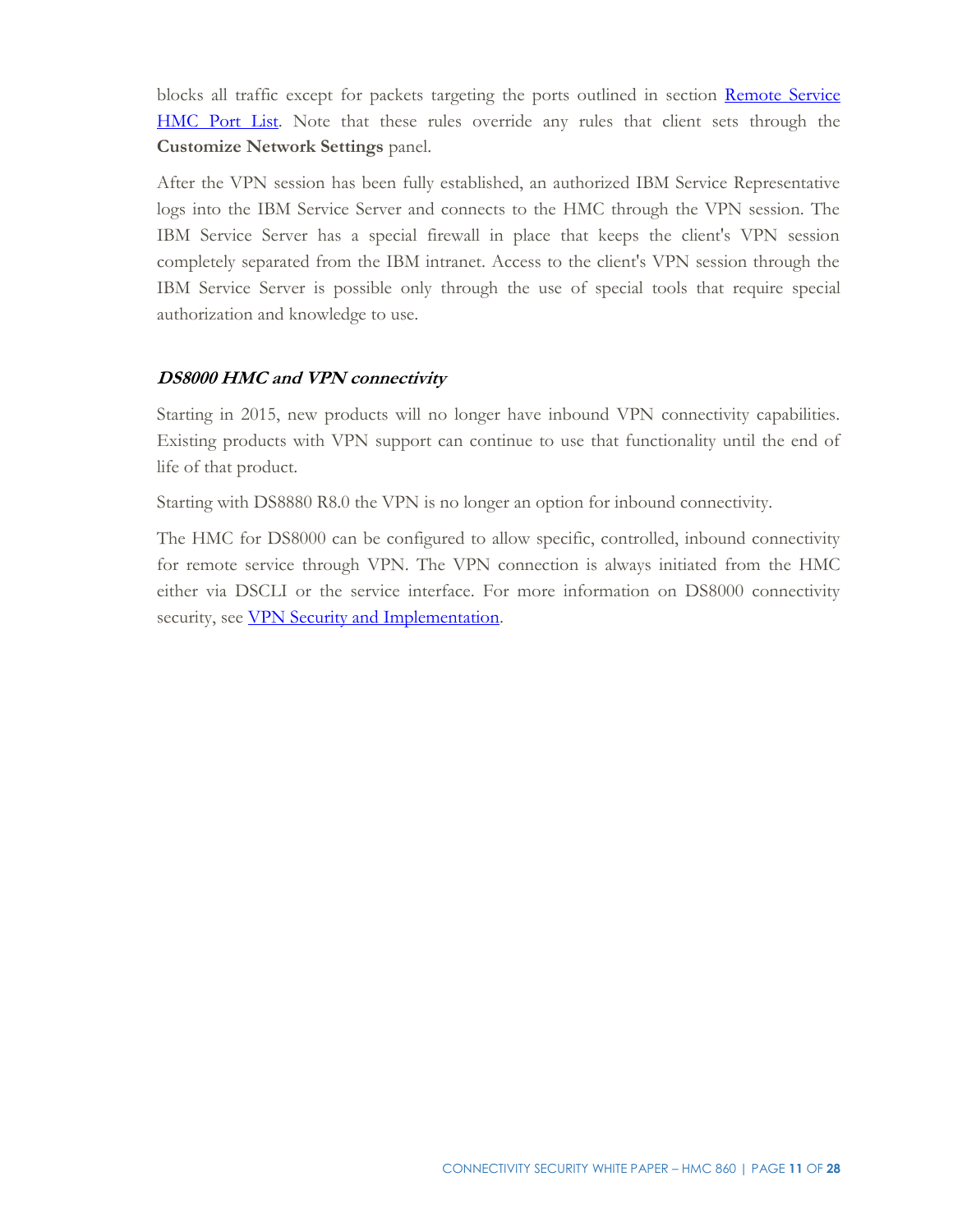blocks all traffic except for packets targeting the ports outlined in section [Remote Service](#page-25-1)  [HMC Port List.](#page-25-1) Note that these rules override any rules that client sets through the **Customize Network Settings** panel.

After the VPN session has been fully established, an authorized IBM Service Representative logs into the IBM Service Server and connects to the HMC through the VPN session. The IBM Service Server has a special firewall in place that keeps the client's VPN session completely separated from the IBM intranet. Access to the client's VPN session through the IBM Service Server is possible only through the use of special tools that require special authorization and knowledge to use.

#### <span id="page-11-0"></span>**DS8000 HMC and VPN connectivity**

Starting in 2015, new products will no longer have inbound VPN connectivity capabilities. Existing products with VPN support can continue to use that functionality until the end of life of that product.

Starting with DS8880 R8.0 the VPN is no longer an option for inbound connectivity.

The HMC for DS8000 can be configured to allow specific, controlled, inbound connectivity for remote service through VPN. The VPN connection is always initiated from the HMC either via DSCLI or the service interface. For more information on DS8000 connectivity security, see [VPN Security and Implementation.](http://www-01.ibm.com/support/docview.wss?uid=ssg1S1002693)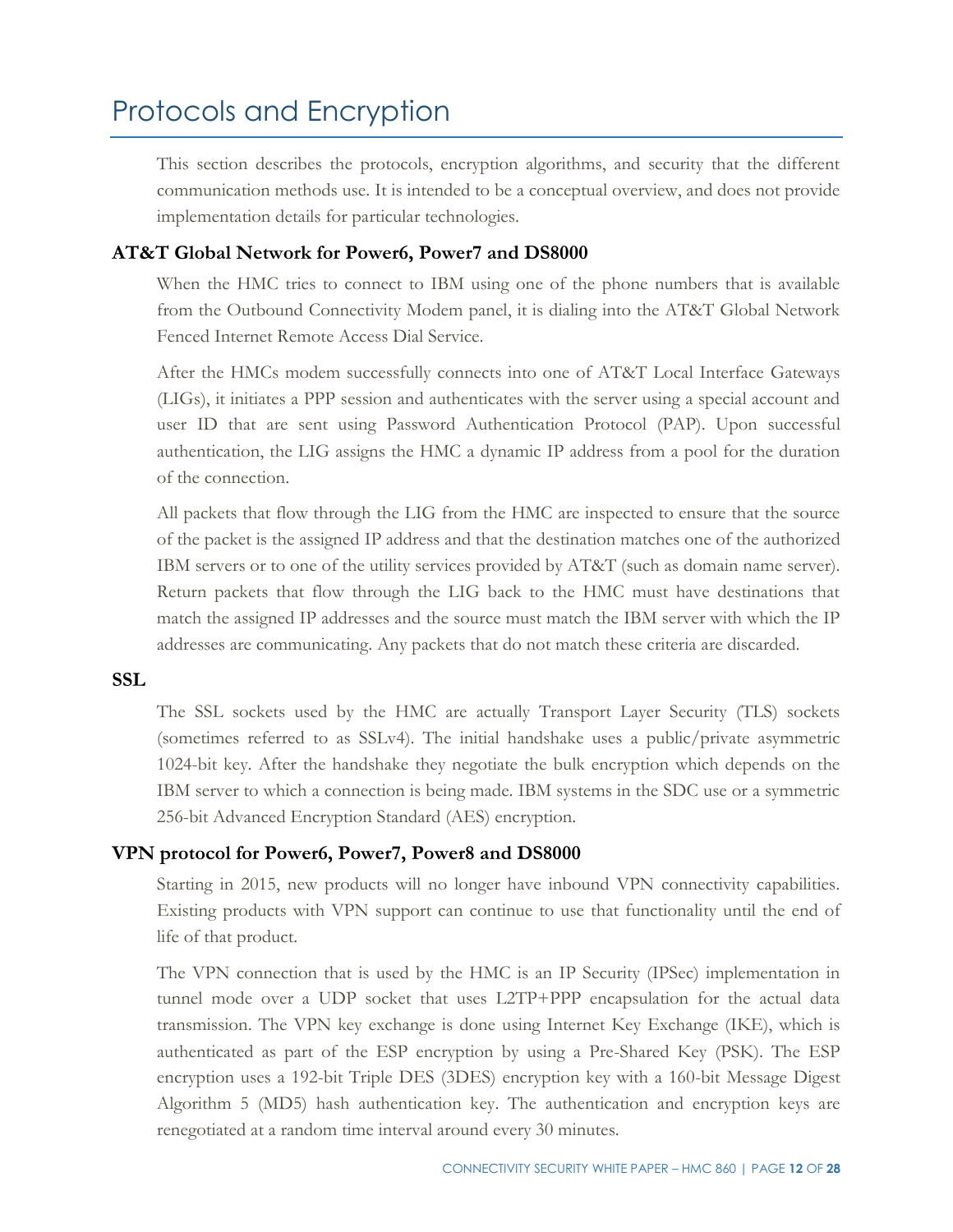## <span id="page-12-0"></span>Protocols and Encryption

This section describes the protocols, encryption algorithms, and security that the different communication methods use. It is intended to be a conceptual overview, and does not provide implementation details for particular technologies.

#### <span id="page-12-1"></span>**AT&T Global Network for Power6, Power7 and DS8000**

When the HMC tries to connect to IBM using one of the phone numbers that is available from the Outbound Connectivity Modem panel, it is dialing into the AT&T Global Network Fenced Internet Remote Access Dial Service.

After the HMCs modem successfully connects into one of AT&T Local Interface Gateways (LIGs), it initiates a PPP session and authenticates with the server using a special account and user ID that are sent using Password Authentication Protocol (PAP). Upon successful authentication, the LIG assigns the HMC a dynamic IP address from a pool for the duration of the connection.

All packets that flow through the LIG from the HMC are inspected to ensure that the source of the packet is the assigned IP address and that the destination matches one of the authorized IBM servers or to one of the utility services provided by AT&T (such as domain name server). Return packets that flow through the LIG back to the HMC must have destinations that match the assigned IP addresses and the source must match the IBM server with which the IP addresses are communicating. Any packets that do not match these criteria are discarded.

#### <span id="page-12-2"></span>**SSL**

The SSL sockets used by the HMC are actually Transport Layer Security (TLS) sockets (sometimes referred to as SSLv4). The initial handshake uses a public/private asymmetric 1024-bit key. After the handshake they negotiate the bulk encryption which depends on the IBM server to which a connection is being made. IBM systems in the SDC use or a symmetric 256-bit Advanced Encryption Standard (AES) encryption.

#### <span id="page-12-3"></span>**VPN protocol for Power6, Power7, Power8 and DS8000**

Starting in 2015, new products will no longer have inbound VPN connectivity capabilities. Existing products with VPN support can continue to use that functionality until the end of life of that product.

The VPN connection that is used by the HMC is an IP Security (IPSec) implementation in tunnel mode over a UDP socket that uses L2TP+PPP encapsulation for the actual data transmission. The VPN key exchange is done using Internet Key Exchange (IKE), which is authenticated as part of the ESP encryption by using a Pre-Shared Key (PSK). The ESP encryption uses a 192-bit Triple DES (3DES) encryption key with a 160-bit Message Digest Algorithm 5 (MD5) hash authentication key. The authentication and encryption keys are renegotiated at a random time interval around every 30 minutes.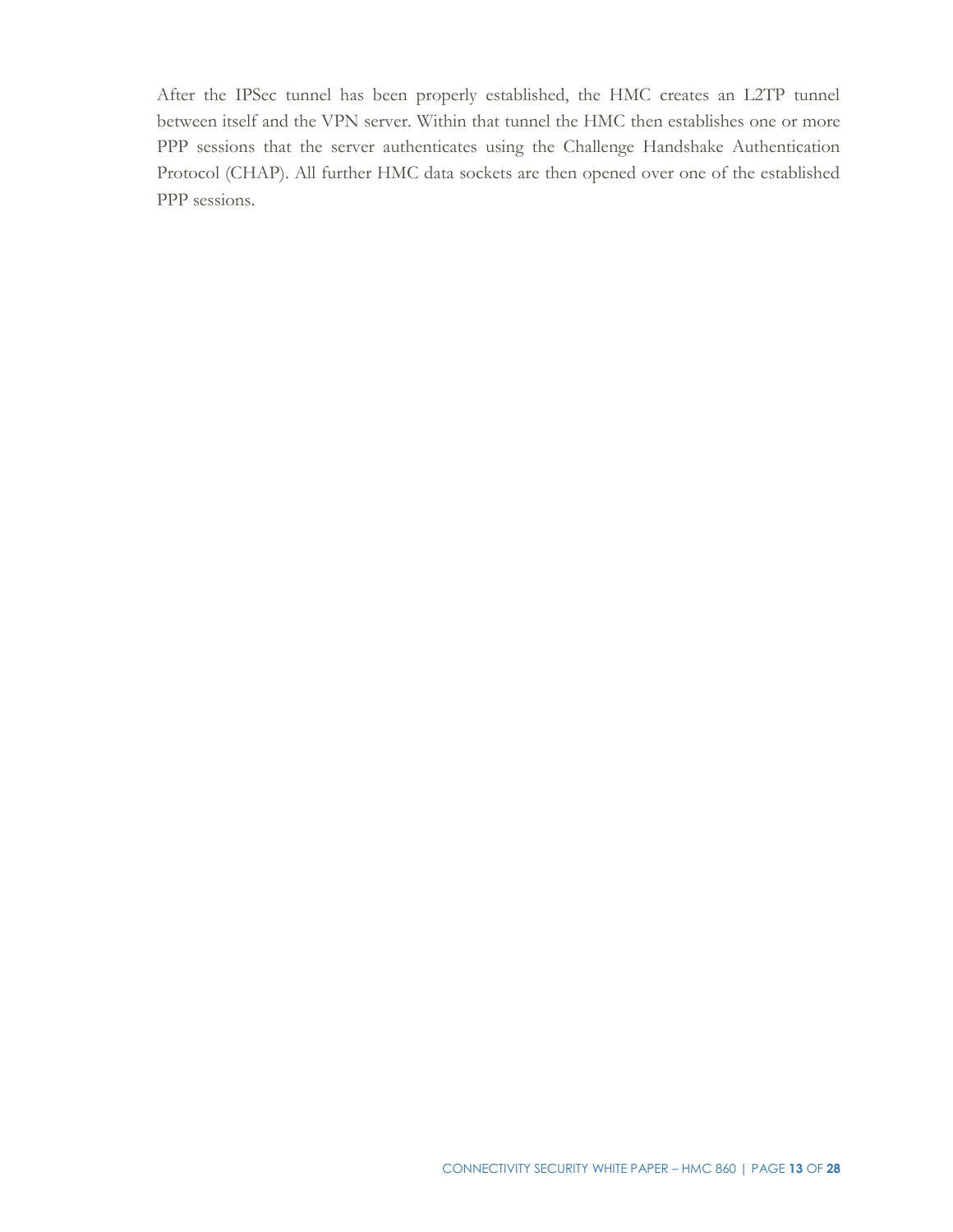After the IPSec tunnel has been properly established, the HMC creates an L2TP tunnel between itself and the VPN server. Within that tunnel the HMC then establishes one or more PPP sessions that the server authenticates using the Challenge Handshake Authentication Protocol (CHAP). All further HMC data sockets are then opened over one of the established PPP sessions.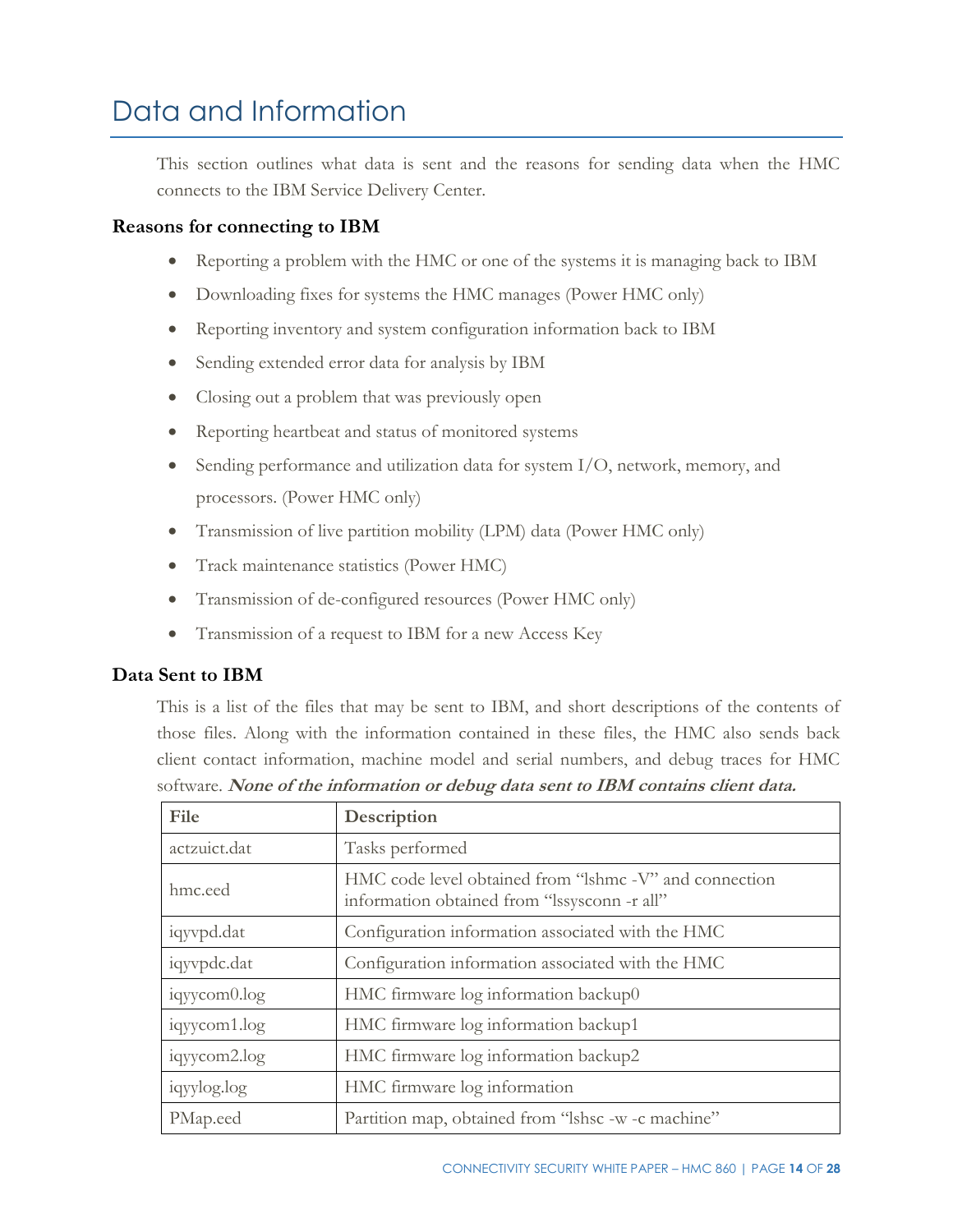## <span id="page-14-0"></span>Data and Information

This section outlines what data is sent and the reasons for sending data when the HMC connects to the IBM Service Delivery Center.

#### <span id="page-14-1"></span>**Reasons for connecting to IBM**

- Reporting a problem with the HMC or one of the systems it is managing back to IBM
- Downloading fixes for systems the HMC manages (Power HMC only)
- Reporting inventory and system configuration information back to IBM
- Sending extended error data for analysis by IBM
- Closing out a problem that was previously open
- Reporting heartbeat and status of monitored systems
- Sending performance and utilization data for system I/O, network, memory, and processors. (Power HMC only)
- Transmission of live partition mobility (LPM) data (Power HMC only)
- Track maintenance statistics (Power HMC)
- Transmission of de-configured resources (Power HMC only)
- Transmission of a request to IBM for a new Access Key

#### <span id="page-14-2"></span>**Data Sent to IBM**

This is a list of the files that may be sent to IBM, and short descriptions of the contents of those files. Along with the information contained in these files, the HMC also sends back client contact information, machine model and serial numbers, and debug traces for HMC software. **None of the information or debug data sent to IBM contains client data.**

| File         | Description                                                                                            |
|--------------|--------------------------------------------------------------------------------------------------------|
| actzuict.dat | Tasks performed                                                                                        |
| hmc.eed      | HMC code level obtained from "Ishmc -V" and connection<br>information obtained from "Issysconn -r all" |
| iqyvpd.dat   | Configuration information associated with the HMC                                                      |
| iqyvpdc.dat  | Configuration information associated with the HMC                                                      |
| iqyycom0.log | HMC firmware log information backup0                                                                   |
| iqyycom1.log | HMC firmware log information backup1                                                                   |
| iqyycom2.log | HMC firmware log information backup2                                                                   |
| iqyylog.log  | HMC firmware log information                                                                           |
| PMap.eed     | Partition map, obtained from "Ishsc -w -c machine"                                                     |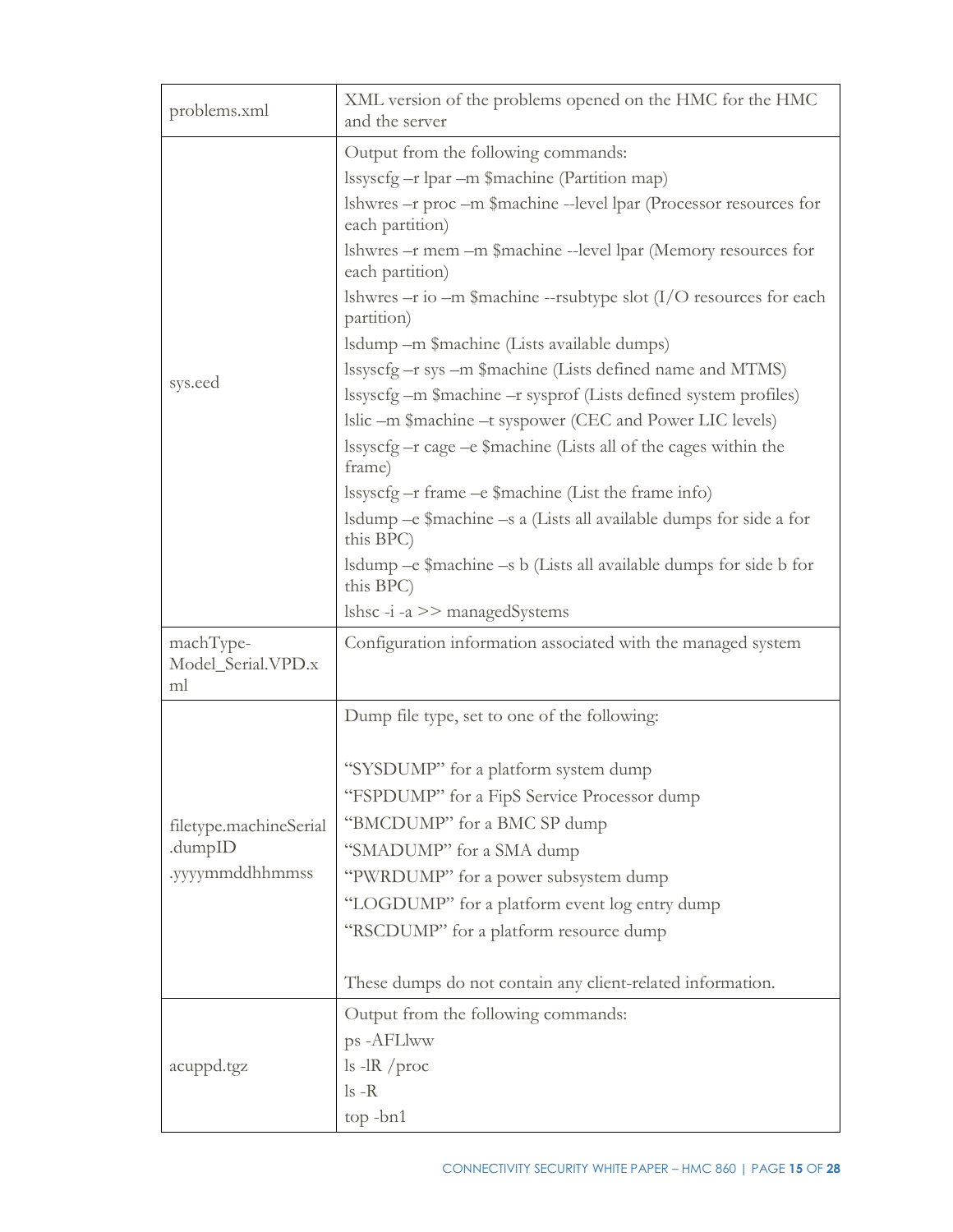| problems.xml                                         | XML version of the problems opened on the HMC for the HMC<br>and the server                                                                                                                                                                                                                                                                                                                                                                                                                                                                                                                                                                                                                                                                                                                                                                                                                                                                                                                                   |  |  |  |  |
|------------------------------------------------------|---------------------------------------------------------------------------------------------------------------------------------------------------------------------------------------------------------------------------------------------------------------------------------------------------------------------------------------------------------------------------------------------------------------------------------------------------------------------------------------------------------------------------------------------------------------------------------------------------------------------------------------------------------------------------------------------------------------------------------------------------------------------------------------------------------------------------------------------------------------------------------------------------------------------------------------------------------------------------------------------------------------|--|--|--|--|
| sys.eed                                              | Output from the following commands:<br>Issyscfg - rlpar - m \$machine (Partition map)<br>Ishwres - proc - m \$machine --level lpar (Processor resources for<br>each partition)<br>Ishwres - r mem - m \$machine --level lpar (Memory resources for<br>each partition)<br>lshwres $-r$ io $-m$ \$machine --rsubtype slot (I/O resources for each<br>partition)<br>Isdump –m \$machine (Lists available dumps)<br>lssyscfg - r sys - m \$machine (Lists defined name and MTMS)<br>lssyscfg –m \$machine –r sysprof (Lists defined system profiles)<br>Islic –m \$machine –t syspower (CEC and Power LIC levels)<br>lssyscfg - r cage - e \$machine (Lists all of the cages within the<br>frame)<br>lssyscfg - frame - $\mathop{\mathsf{mackine}}$ (List the frame info)<br>Isdump – $\epsilon$ \$machine – s a (Lists all available dumps for side a for<br>this BPC)<br>Isdump – $\epsilon$ \$machine –s b (Lists all available dumps for side b for<br>this BPC)<br>$lshsc -i -a \geq \text{ managedSystems}$ |  |  |  |  |
| machType-<br>Model_Serial.VPD.x<br>ml                | Configuration information associated with the managed system                                                                                                                                                                                                                                                                                                                                                                                                                                                                                                                                                                                                                                                                                                                                                                                                                                                                                                                                                  |  |  |  |  |
| filetype.machineSerial<br>.dumpID<br>.yyyymmddhhmmss | Dump file type, set to one of the following:<br>"SYSDUMP" for a platform system dump<br>"FSPDUMP" for a FipS Service Processor dump<br>"BMCDUMP" for a BMC SP dump<br>"SMADUMP" for a SMA dump<br>"PWRDUMP" for a power subsystem dump<br>"LOGDUMP" for a platform event log entry dump<br>"RSCDUMP" for a platform resource dump<br>These dumps do not contain any client-related information.                                                                                                                                                                                                                                                                                                                                                                                                                                                                                                                                                                                                               |  |  |  |  |
| acuppd.tgz                                           | Output from the following commands:<br>ps -AFLlww<br>$\text{ls}$ -IR / proc<br>$ls - R$<br>$top - bn1$                                                                                                                                                                                                                                                                                                                                                                                                                                                                                                                                                                                                                                                                                                                                                                                                                                                                                                        |  |  |  |  |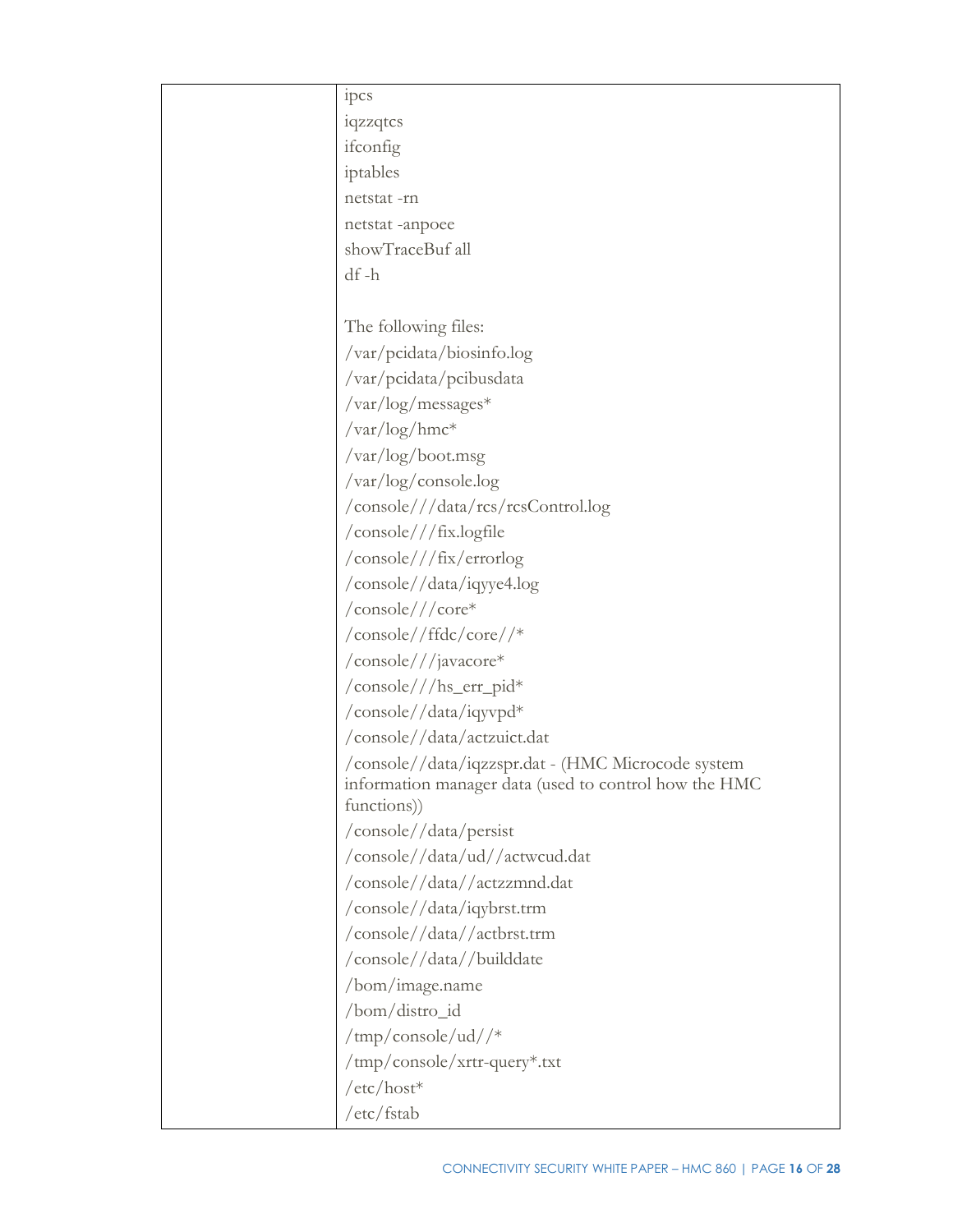| 1pcs                                                                                                                       |
|----------------------------------------------------------------------------------------------------------------------------|
| iqzzqtcs                                                                                                                   |
| ifconfig                                                                                                                   |
| iptables                                                                                                                   |
| netstat -rn                                                                                                                |
| netstat -anpoee                                                                                                            |
| showTraceBuf all                                                                                                           |
| df-h                                                                                                                       |
|                                                                                                                            |
| The following files:                                                                                                       |
| /var/pcidata/biosinfo.log                                                                                                  |
| /var/pcidata/pcibusdata                                                                                                    |
| $/\mathrm{var}/\mathrm{log}/\mathrm{messages}^*$                                                                           |
| /var/log/hmc*                                                                                                              |
| /var/log/boot.msg                                                                                                          |
| /var/log/console.log                                                                                                       |
| /console///data/rcs/rcsControl.log                                                                                         |
| /console///fix.logfile                                                                                                     |
| /console///fix/errorlog                                                                                                    |
| /console//data/iqyye4.log                                                                                                  |
| $/$ console $//$ core*                                                                                                     |
| /console//ffdc/core//*                                                                                                     |
| /console///javacore*                                                                                                       |
| /console///hs_err_pid*                                                                                                     |
| /console//data/iqyvpd*                                                                                                     |
| /console//data/actzuict.dat                                                                                                |
| /console//data/iqzzspr.dat - (HMC Microcode system<br>information manager data (used to control how the HMC<br>functions)) |
| /console//data/persist                                                                                                     |
| /console//data/ud//actwcud.dat                                                                                             |
| /console//data//actzzmnd.dat                                                                                               |
| /console//data/iqybrst.trm                                                                                                 |
| /console//data//actbrst.trm                                                                                                |
| /console//data//builddate                                                                                                  |
| /bom/image.name                                                                                                            |
| /bom/distro_id                                                                                                             |
| $/\text{tmp}/\text{console}/\text{ud}/\text{/*}$                                                                           |
| /tmp/console/xrtr-query*.txt                                                                                               |
| /etc/host*                                                                                                                 |
| /etc/fstab                                                                                                                 |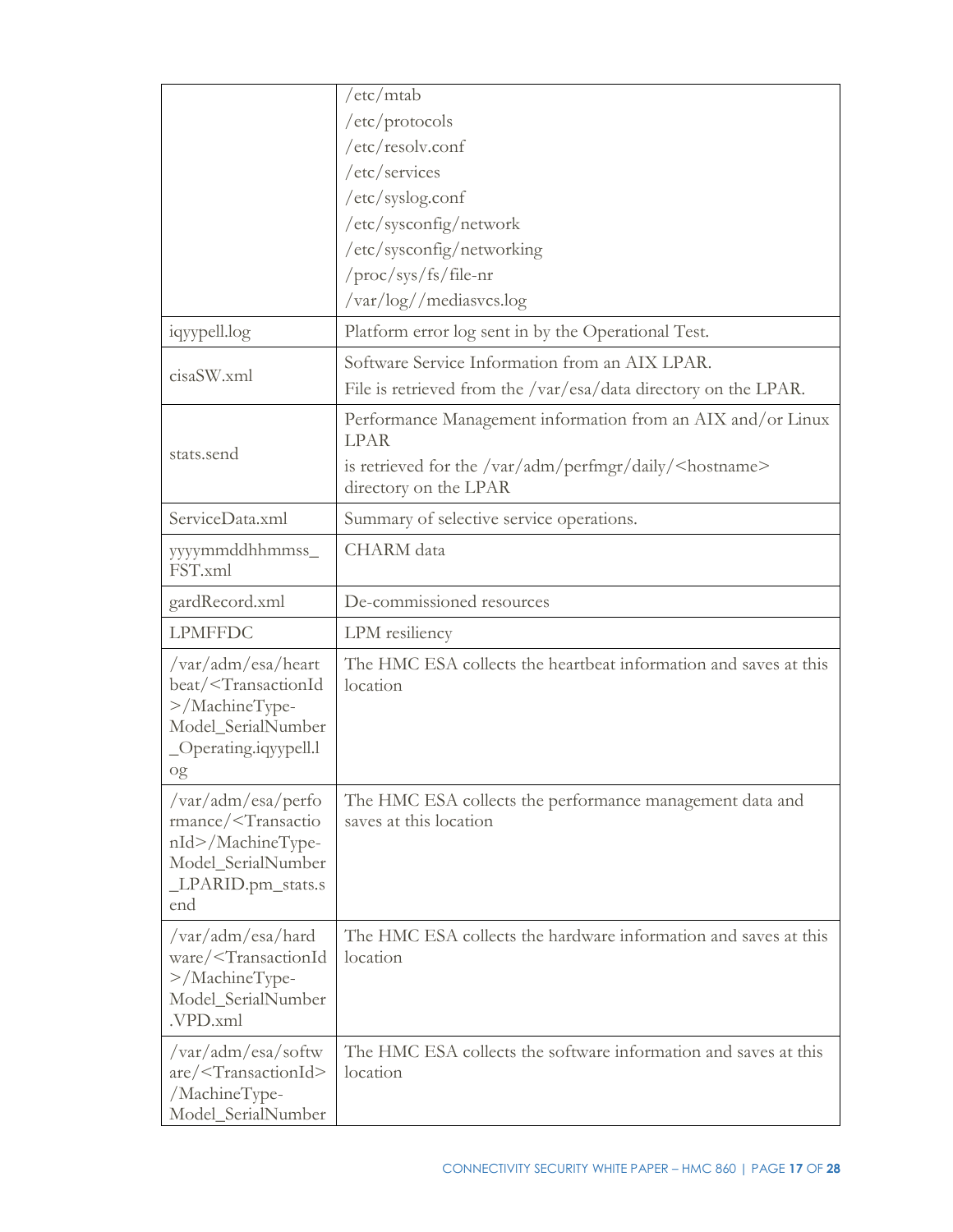|                                                                                                                                                     | /etc/mtab                                                                                    |  |  |  |  |
|-----------------------------------------------------------------------------------------------------------------------------------------------------|----------------------------------------------------------------------------------------------|--|--|--|--|
|                                                                                                                                                     | /etc/protools                                                                                |  |  |  |  |
|                                                                                                                                                     | /etc/resolv.conf                                                                             |  |  |  |  |
|                                                                                                                                                     | /etc/services                                                                                |  |  |  |  |
|                                                                                                                                                     | /etc/syslog.conf                                                                             |  |  |  |  |
|                                                                                                                                                     | /etc/sysconfig/network                                                                       |  |  |  |  |
|                                                                                                                                                     | /etc/sysconfig/networking                                                                    |  |  |  |  |
|                                                                                                                                                     | /proc/sys/fs/file-nr                                                                         |  |  |  |  |
|                                                                                                                                                     | /var/log//mediasvcs.log                                                                      |  |  |  |  |
| iqyypell.log                                                                                                                                        | Platform error log sent in by the Operational Test.                                          |  |  |  |  |
|                                                                                                                                                     | Software Service Information from an AIX LPAR.                                               |  |  |  |  |
| cisaSW.xml                                                                                                                                          | File is retrieved from the /var/esa/data directory on the LPAR.                              |  |  |  |  |
|                                                                                                                                                     | Performance Management information from an AIX and/or Linux<br><b>LPAR</b>                   |  |  |  |  |
| stats.send                                                                                                                                          | is retrieved for the /var/adm/perfmgr/daily/ <hostname><br/>directory on the LPAR</hostname> |  |  |  |  |
| ServiceData.xml                                                                                                                                     | Summary of selective service operations.                                                     |  |  |  |  |
| yyyymmddhhmmss_<br>FST.xml                                                                                                                          | CHARM data                                                                                   |  |  |  |  |
| gardRecord.xml                                                                                                                                      | De-commissioned resources                                                                    |  |  |  |  |
| <b>LPMFFDC</b>                                                                                                                                      | LPM resiliency                                                                               |  |  |  |  |
| $\sqrt{var/adm}/esa/h$ eart<br>beat/ <transactionid<br>&gt;/MachineType-<br/>Model_SerialNumber<br/>_Operating.iqyypell.l<br/>og</transactionid<br> | The HMC ESA collects the heartbeat information and saves at this<br>location                 |  |  |  |  |
| /var/adm/esa/perfo<br>rmance/ <transactio<br>nId&gt;/MachineType-<br/>Model_SerialNumber<br/>_LPARID.pm_stats.s<br/>end</transactio<br>             | The HMC ESA collects the performance management data and<br>saves at this location           |  |  |  |  |
| /var/adm/esa/hard<br>ware/ <transactionid<br>&gt;/MachineType-<br/>Model_SerialNumber<br/>.VPD.xml</transactionid<br>                               | The HMC ESA collects the hardware information and saves at this<br>location                  |  |  |  |  |
| $\sqrt{var/adm}/esa/softw$<br>are/ <transactionid><br/>/MachineType-<br/>Model_SerialNumber</transactionid>                                         | The HMC ESA collects the software information and saves at this<br>location                  |  |  |  |  |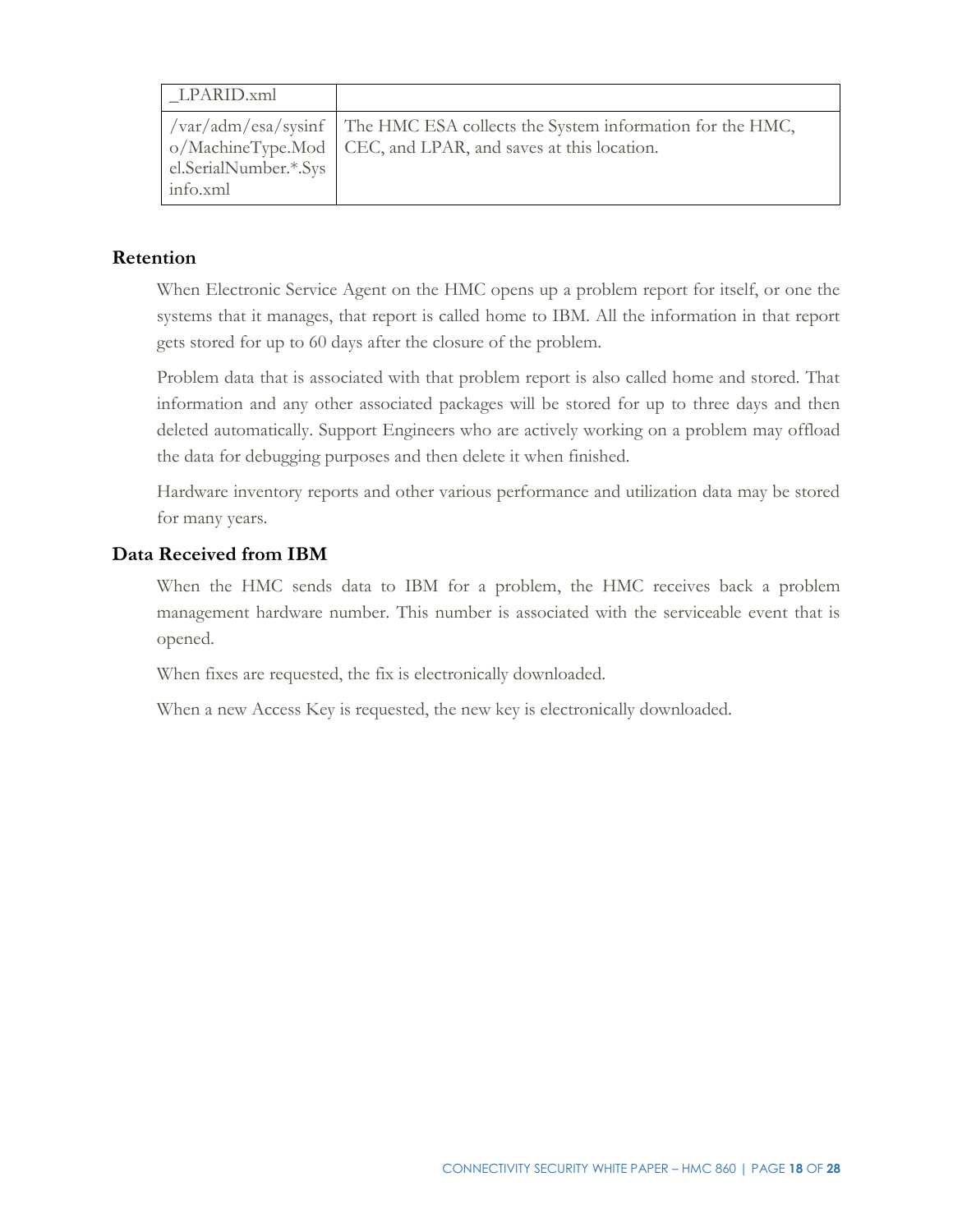| LPARID.xml            |                                                                              |
|-----------------------|------------------------------------------------------------------------------|
| el.SerialNumber.*.Sys | /var/adm/esa/sysinf The HMC ESA collects the System information for the HMC, |
| info.xml              | o/MachineType.Mod   CEC, and LPAR, and saves at this location.               |

#### <span id="page-18-0"></span>**Retention**

When Electronic Service Agent on the HMC opens up a problem report for itself, or one the systems that it manages, that report is called home to IBM. All the information in that report gets stored for up to 60 days after the closure of the problem.

Problem data that is associated with that problem report is also called home and stored. That information and any other associated packages will be stored for up to three days and then deleted automatically. Support Engineers who are actively working on a problem may offload the data for debugging purposes and then delete it when finished.

Hardware inventory reports and other various performance and utilization data may be stored for many years.

#### <span id="page-18-1"></span>**Data Received from IBM**

When the HMC sends data to IBM for a problem, the HMC receives back a problem management hardware number. This number is associated with the serviceable event that is opened.

When fixes are requested, the fix is electronically downloaded.

When a new Access Key is requested, the new key is electronically downloaded.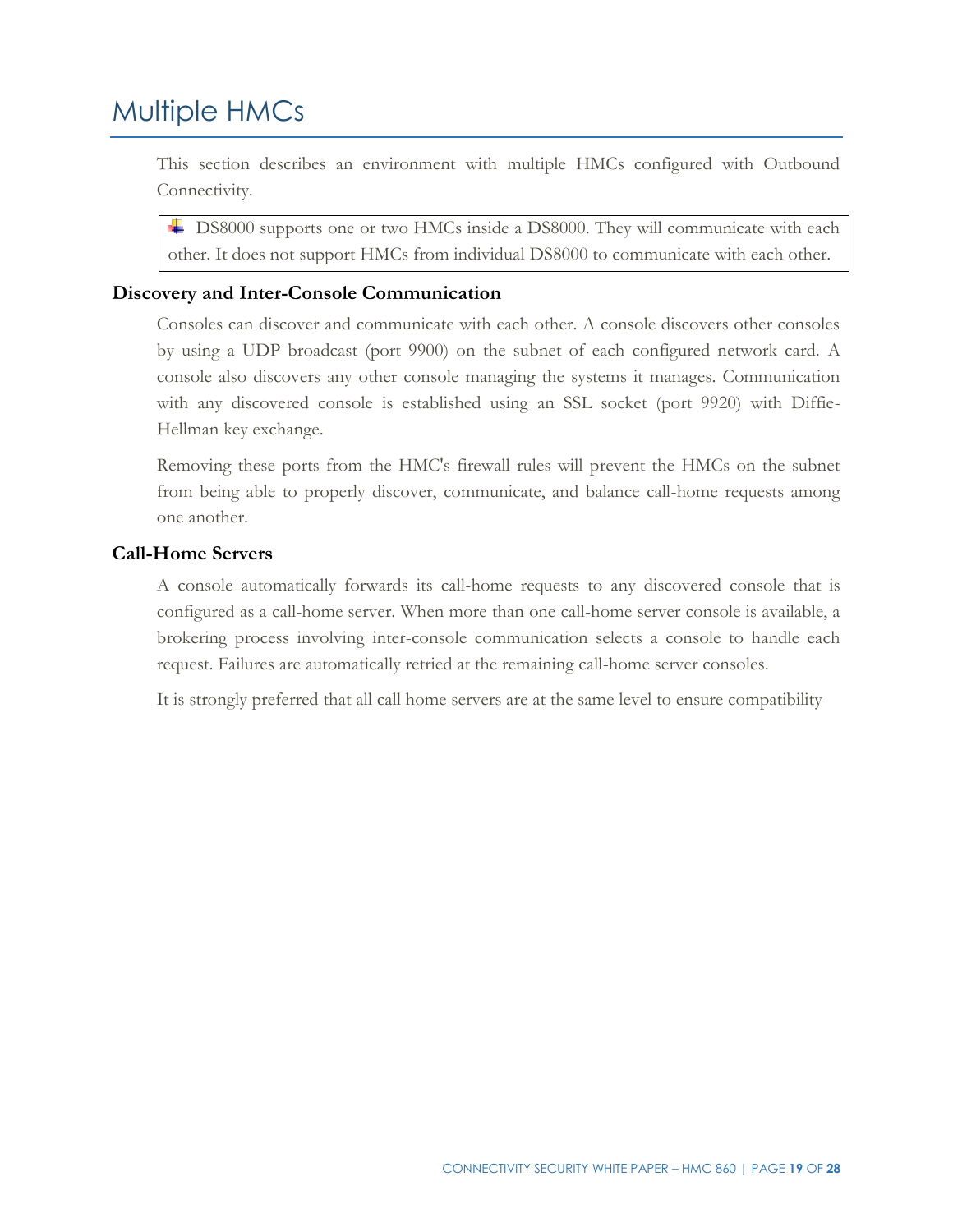## <span id="page-19-0"></span>Multiple HMCs

This section describes an environment with multiple HMCs configured with Outbound Connectivity.

↓ DS8000 supports one or two HMCs inside a DS8000. They will communicate with each other. It does not support HMCs from individual DS8000 to communicate with each other.

#### <span id="page-19-1"></span>**Discovery and Inter-Console Communication**

Consoles can discover and communicate with each other. A console discovers other consoles by using a UDP broadcast (port 9900) on the subnet of each configured network card. A console also discovers any other console managing the systems it manages. Communication with any discovered console is established using an SSL socket (port 9920) with Diffie-Hellman key exchange.

Removing these ports from the HMC's firewall rules will prevent the HMCs on the subnet from being able to properly discover, communicate, and balance call-home requests among one another.

#### <span id="page-19-2"></span>**Call-Home Servers**

A console automatically forwards its call-home requests to any discovered console that is configured as a call-home server. When more than one call-home server console is available, a brokering process involving inter-console communication selects a console to handle each request. Failures are automatically retried at the remaining call-home server consoles.

It is strongly preferred that all call home servers are at the same level to ensure compatibility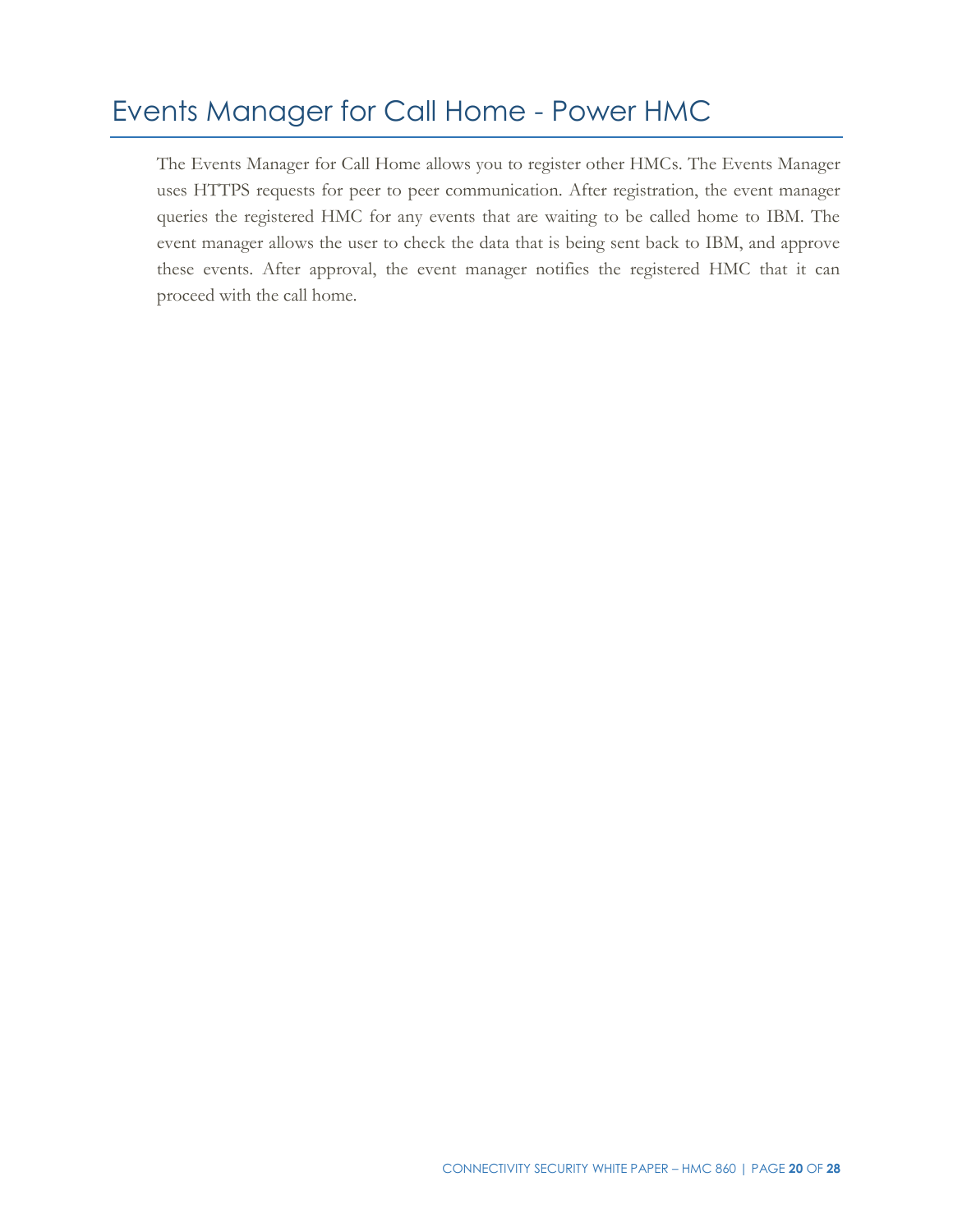## <span id="page-20-0"></span>Events Manager for Call Home - Power HMC

The Events Manager for Call Home allows you to register other HMCs. The Events Manager uses HTTPS requests for peer to peer communication. After registration, the event manager queries the registered HMC for any events that are waiting to be called home to IBM. The event manager allows the user to check the data that is being sent back to IBM, and approve these events. After approval, the event manager notifies the registered HMC that it can proceed with the call home.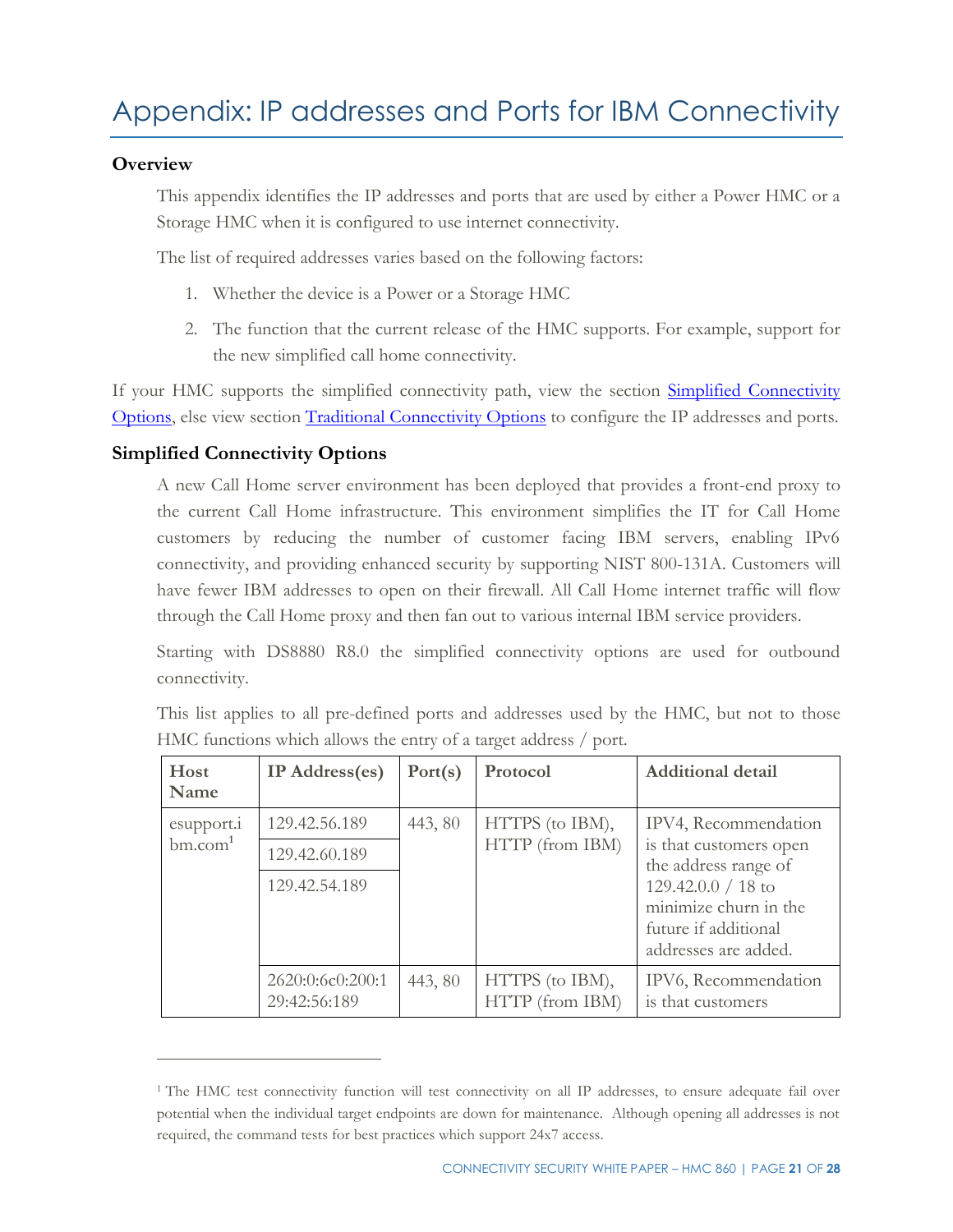#### <span id="page-21-1"></span><span id="page-21-0"></span>**Overview**

 $\overline{a}$ 

This appendix identifies the IP addresses and ports that are used by either a Power HMC or a Storage HMC when it is configured to use internet connectivity.

The list of required addresses varies based on the following factors:

- 1. Whether the device is a Power or a Storage HMC
- 2. The function that the current release of the HMC supports. For example, support for the new simplified call home connectivity.

If your HMC supports the simplified connectivity path, view the section Simplified Connectivity [Options,](#page-21-2) else view section [Traditional Connectivity Options](#page-22-0) to configure the IP addresses and ports.

#### <span id="page-21-2"></span>**Simplified Connectivity Options**

A new Call Home server environment has been deployed that provides a front-end proxy to the current Call Home infrastructure. This environment simplifies the IT for Call Home customers by reducing the number of customer facing IBM servers, enabling IPv6 connectivity, and providing enhanced security by supporting NIST 800-131A. Customers will have fewer IBM addresses to open on their firewall. All Call Home internet traffic will flow through the Call Home proxy and then fan out to various internal IBM service providers.

Starting with DS8880 R8.0 the simplified connectivity options are used for outbound connectivity.

This list applies to all pre-defined ports and addresses used by the HMC, but not to those HMC functions which allows the entry of a target address / port.

| Host<br>Name                      | <b>IP</b> Address(es)                           | Port(s) | Protocol                           | <b>Additional detail</b>                                                                                                                                                |
|-----------------------------------|-------------------------------------------------|---------|------------------------------------|-------------------------------------------------------------------------------------------------------------------------------------------------------------------------|
| esupport.i<br>bm.com <sup>1</sup> | 129.42.56.189<br>129.42.60.189<br>129.42.54.189 | 443, 80 | HTTPS (to IBM),<br>HTTP (from IBM) | IPV4, Recommendation<br>is that customers open<br>the address range of<br>129.42.0.0 $/$ 18 to<br>minimize churn in the<br>future if additional<br>addresses are added. |
|                                   | 2620:0:6c0:200:1<br>29:42:56:189                | 443, 80 | HTTPS (to IBM),<br>HTTP (from IBM) | IPV6, Recommendation<br>is that customers                                                                                                                               |

<sup>&</sup>lt;sup>1</sup> The HMC test connectivity function will test connectivity on all IP addresses, to ensure adequate fail over potential when the individual target endpoints are down for maintenance. Although opening all addresses is not required, the command tests for best practices which support 24x7 access.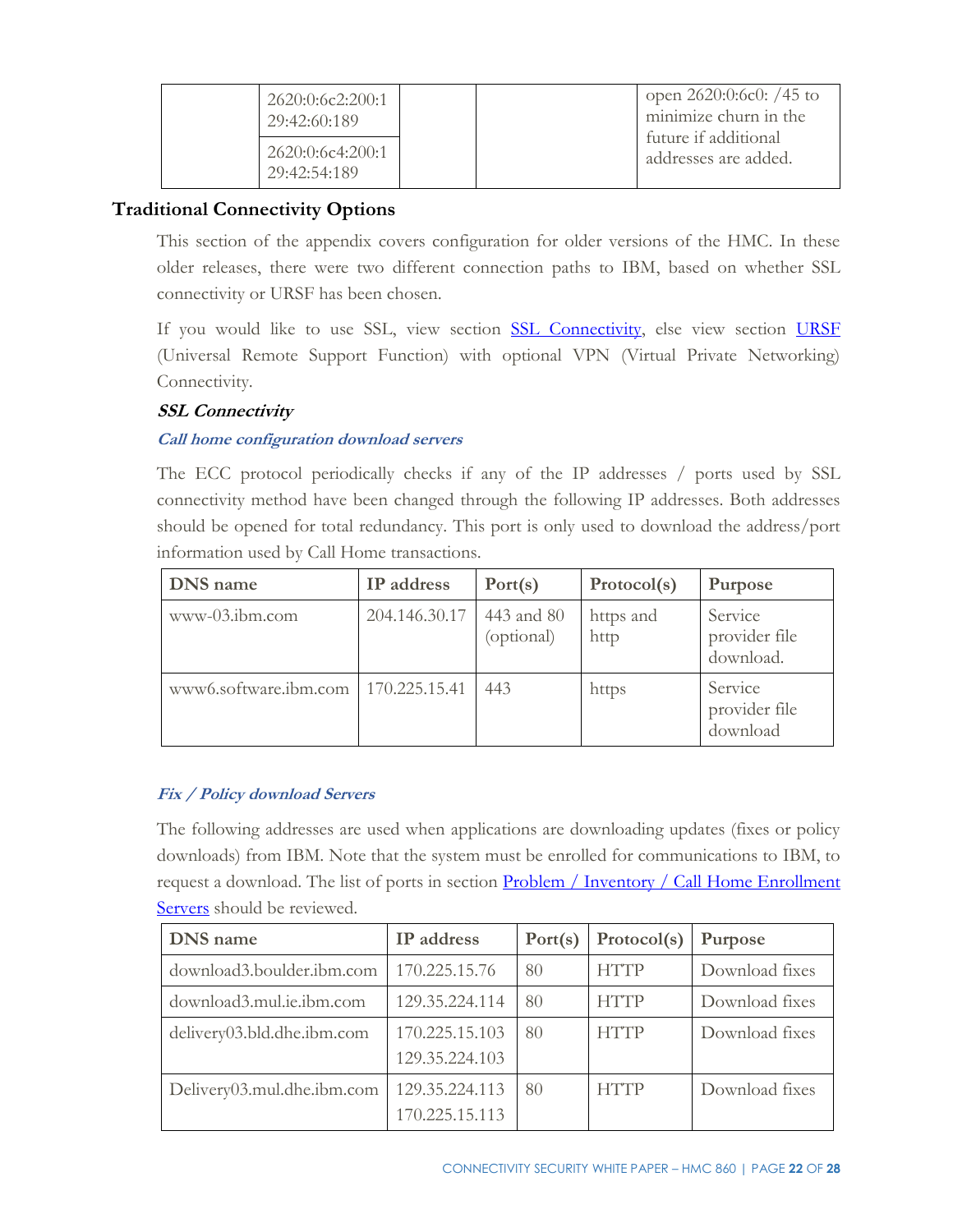| 2620:0:6c2:200:1<br>29:42:60:189 | open 2620:0:6c0: /45 to<br>minimize churn in the<br>future if additional |
|----------------------------------|--------------------------------------------------------------------------|
| 2620:0:6c4:200:1<br>29:42:54:189 | addresses are added.                                                     |

#### <span id="page-22-0"></span>**Traditional Connectivity Options**

This section of the appendix covers configuration for older versions of the HMC. In these older releases, there were two different connection paths to IBM, based on whether SSL connectivity or URSF has been chosen.

If you would like to use SSL, view section [SSL Connectivity,](#page-22-1) else view section [URSF](#page-24-0) (Universal Remote Support Function) with optional VPN (Virtual Private Networking) Connectivity.

#### <span id="page-22-1"></span>**SSL Connectivity**

#### **Call home configuration download servers**

The ECC protocol periodically checks if any of the IP addresses / ports used by SSL connectivity method have been changed through the following IP addresses. Both addresses should be opened for total redundancy. This port is only used to download the address/port information used by Call Home transactions.

| <b>DNS</b> name                       | IP address    | Port(s)                  | Protocol(s)       | Purpose                               |
|---------------------------------------|---------------|--------------------------|-------------------|---------------------------------------|
| www-03.ibm.com                        | 204.146.30.17 | 443 and 80<br>(optional) | https and<br>http | Service<br>provider file<br>download. |
| www6.software.ibm.com   170.225.15.41 |               | 443                      | https             | Service<br>provider file<br>download  |

#### **Fix / Policy download Servers**

The following addresses are used when applications are downloading updates (fixes or policy downloads) from IBM. Note that the system must be enrolled for communications to IBM, to request a download. The list of ports in section Problem / Inventory [/ Call Home Enrollment](#page-23-0)  [Servers](#page-23-0) should be reviewed.

| <b>DNS</b> name            | IP address     | Port(s) | Protocol(s) | Purpose        |
|----------------------------|----------------|---------|-------------|----------------|
| download3.boulder.ibm.com  | 170.225.15.76  | 80      | <b>HTTP</b> | Download fixes |
| download3.mul.ie.ibm.com   | 129.35.224.114 | 80      | <b>HTTP</b> | Download fixes |
| delivery03.bld.dhe.ibm.com | 170.225.15.103 | 80      | <b>HTTP</b> | Download fixes |
|                            | 129.35.224.103 |         |             |                |
| Delivery03.mul.dhe.ibm.com | 129.35.224.113 | 80      | <b>HTTP</b> | Download fixes |
|                            | 170.225.15.113 |         |             |                |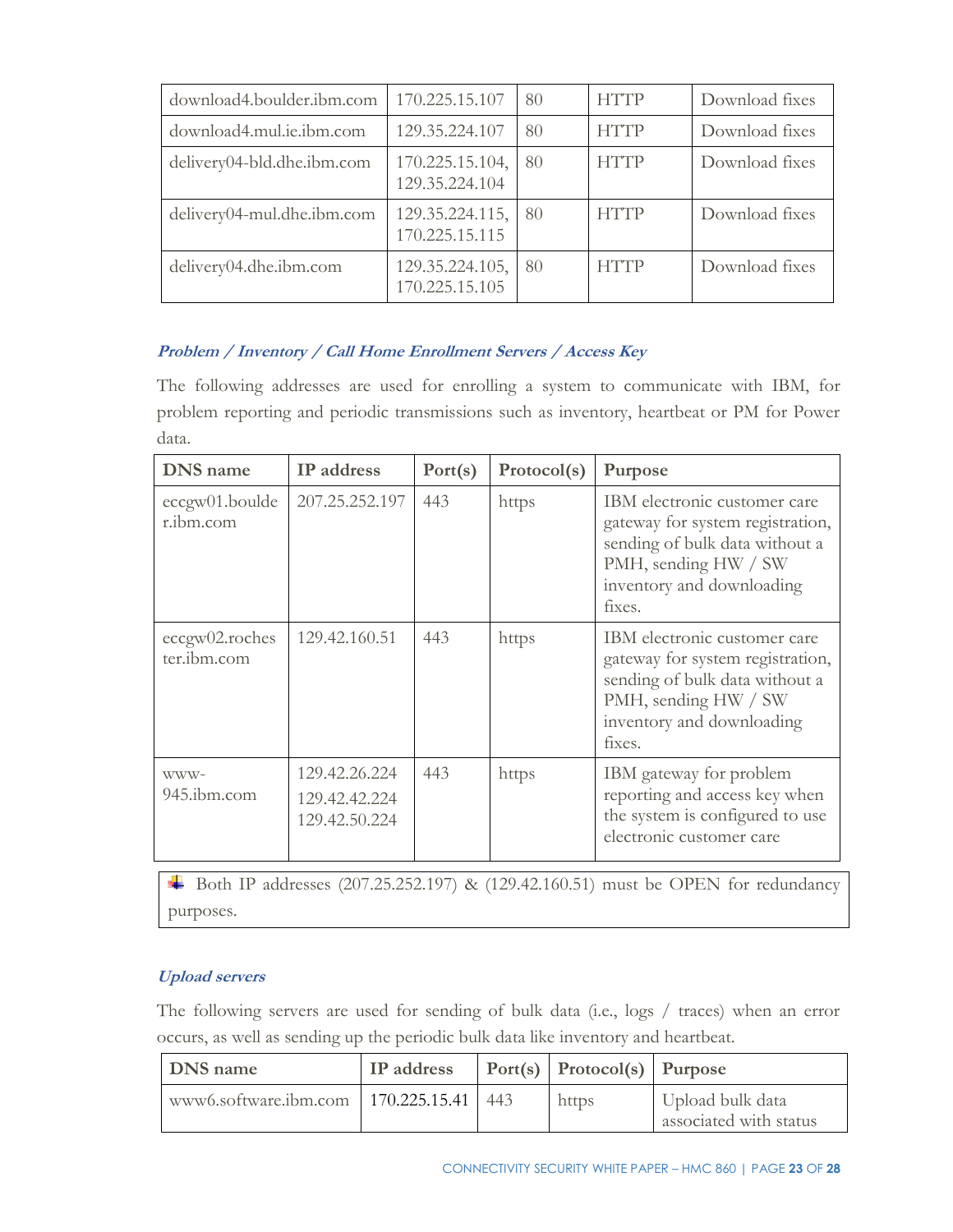| download4.boulder.ibm.com  | 170.225.15.107                    | 80 | <b>HTTP</b> | Download fixes |
|----------------------------|-----------------------------------|----|-------------|----------------|
| download4.mul.ie.ibm.com   | 129.35.224.107                    | 80 | <b>HTTP</b> | Download fixes |
| delivery04-bld.dhe.ibm.com | 170.225.15.104,<br>129.35.224.104 | 80 | <b>HTTP</b> | Download fixes |
| delivery04-mul.dhe.ibm.com | 129.35.224.115,<br>170.225.15.115 | 80 | <b>HTTP</b> | Download fixes |
| delivery04.dhe.ibm.com     | 129.35.224.105,<br>170.225.15.105 | 80 | <b>HTTP</b> | Download fixes |

#### <span id="page-23-0"></span>**Problem / Inventory / Call Home Enrollment Servers / Access Key**

The following addresses are used for enrolling a system to communicate with IBM, for problem reporting and periodic transmissions such as inventory, heartbeat or PM for Power data.

| <b>DNS</b> name                | IP address                                      | Port(s) | Protocol(s) | Purpose                                                                                                                                                           |
|--------------------------------|-------------------------------------------------|---------|-------------|-------------------------------------------------------------------------------------------------------------------------------------------------------------------|
| eccgw01.boulde<br>r.ibm.com    | 207.25.252.197                                  | 443     | https       | IBM electronic customer care<br>gateway for system registration,<br>sending of bulk data without a<br>PMH, sending HW / SW<br>inventory and downloading<br>fixes. |
| eccgw02. roches<br>ter.ibm.com | 129.42.160.51                                   | 443     | https       | IBM electronic customer care<br>gateway for system registration,<br>sending of bulk data without a<br>PMH, sending HW / SW<br>inventory and downloading<br>fixes. |
| WWW-<br>945.ibm.com            | 129.42.26.224<br>129.42.42.224<br>129.42.50.224 | 443     | https       | IBM gateway for problem<br>reporting and access key when<br>the system is configured to use<br>electronic customer care                                           |

 $\bigoplus$  Both IP addresses (207.25.252.197) & (129.42.160.51) must be OPEN for redundancy purposes.

#### **Upload servers**

The following servers are used for sending of bulk data (i.e., logs / traces) when an error occurs, as well as sending up the periodic bulk data like inventory and heartbeat.

| DNS name                                    | <b>IP</b> address | $\vert$ Port(s)   Protocol(s)   Purpose |                                            |
|---------------------------------------------|-------------------|-----------------------------------------|--------------------------------------------|
| www6.software.ibm.com   170.225.15.41   443 |                   | https                                   | Upload bulk data<br>associated with status |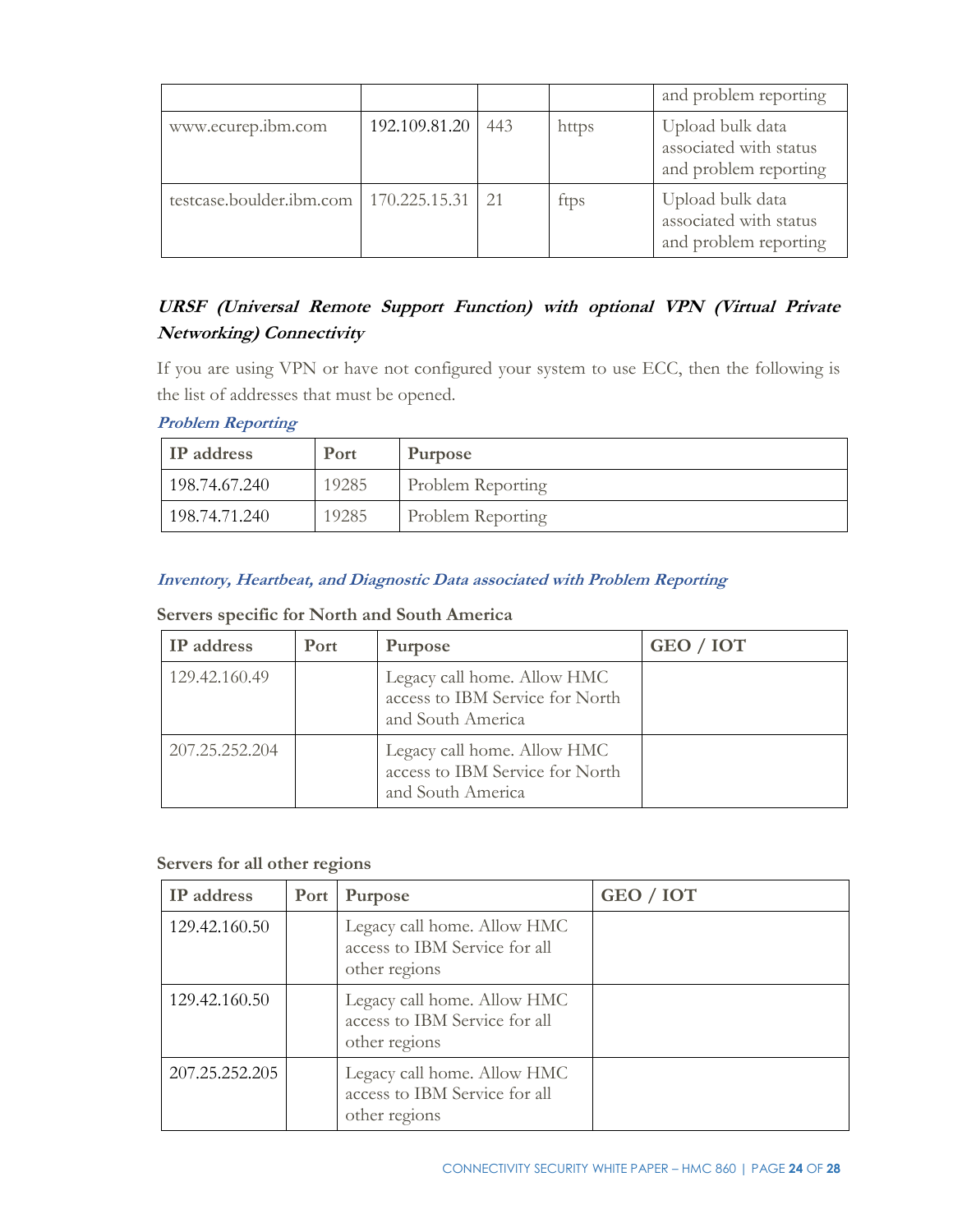|                          |               |     |       | and problem reporting                                               |
|--------------------------|---------------|-----|-------|---------------------------------------------------------------------|
| www.ecurep.ibm.com       | 192.109.81.20 | 443 | https | Upload bulk data<br>associated with status<br>and problem reporting |
| testcase.boulder.ibm.com | 170.225.15.31 | 21  | ftps  | Upload bulk data<br>associated with status<br>and problem reporting |

#### <span id="page-24-0"></span>**URSF (Universal Remote Support Function) with optional VPN (Virtual Private Networking) Connectivity**

If you are using VPN or have not configured your system to use ECC, then the following is the list of addresses that must be opened.

**Problem Reporting**

| IP address    | Port  | <b>Purpose</b>    |
|---------------|-------|-------------------|
| 198.74.67.240 | 19285 | Problem Reporting |
| 198.74.71.240 | 19285 | Problem Reporting |

#### **Inventory, Heartbeat, and Diagnostic Data associated with Problem Reporting**

| IP address     | Port | <b>Purpose</b>                                                                      | GEO / IOT |
|----------------|------|-------------------------------------------------------------------------------------|-----------|
| 129.42.160.49  |      | Legacy call home. Allow HMC<br>access to IBM Service for North<br>and South America |           |
| 207.25.252.204 |      | Legacy call home. Allow HMC<br>access to IBM Service for North<br>and South America |           |

#### **Servers specific for North and South America**

#### **Servers for all other regions**

| IP address     | Port | Purpose                                                                       | GEO / IOT |
|----------------|------|-------------------------------------------------------------------------------|-----------|
| 129.42.160.50  |      | Legacy call home. Allow HMC<br>access to IBM Service for all<br>other regions |           |
| 129.42.160.50  |      | Legacy call home. Allow HMC<br>access to IBM Service for all<br>other regions |           |
| 207.25.252.205 |      | Legacy call home. Allow HMC<br>access to IBM Service for all<br>other regions |           |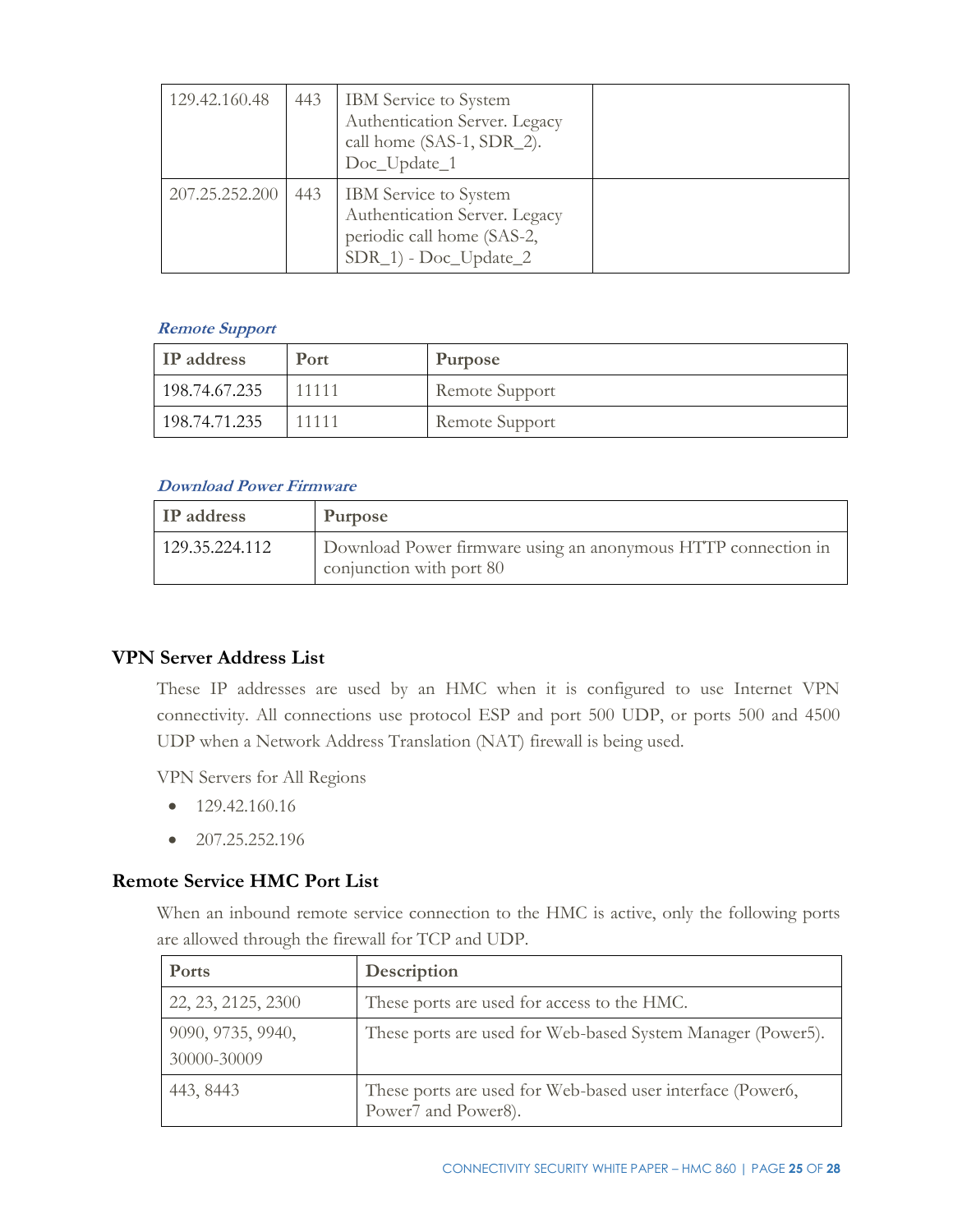| 129.42.160.48  | 443 | IBM Service to System<br>Authentication Server. Legacy<br>call home (SAS-1, SDR_2).<br>Doc_Update_1                 |  |
|----------------|-----|---------------------------------------------------------------------------------------------------------------------|--|
| 207.25.252.200 | 443 | IBM Service to System<br>Authentication Server. Legacy<br>periodic call home (SAS-2,<br>$SDR_1$ ) - $Doc\_Update_2$ |  |

#### **Remote Support**

| IP address    | Port  | Purpose        |
|---------------|-------|----------------|
| 198.74.67.235 | 11111 | Remote Support |
| 198.74.71.235 | 11111 | Remote Support |

#### **Download Power Firmware**

| <b>IP</b> address | Purpose                                                                                   |
|-------------------|-------------------------------------------------------------------------------------------|
| 129.35.224.112    | Download Power firmware using an anonymous HTTP connection in<br>conjunction with port 80 |

#### <span id="page-25-0"></span>**VPN Server Address List**

These IP addresses are used by an HMC when it is configured to use Internet VPN connectivity. All connections use protocol ESP and port 500 UDP, or ports 500 and 4500 UDP when a Network Address Translation (NAT) firewall is being used.

VPN Servers for All Regions

- 129.42.160.16
- 207.25.252.196

#### <span id="page-25-1"></span>**Remote Service HMC Port List**

When an inbound remote service connection to the HMC is active, only the following ports are allowed through the firewall for TCP and UDP.

| <b>Ports</b>                     | Description                                                                       |
|----------------------------------|-----------------------------------------------------------------------------------|
| 22, 23, 2125, 2300               | These ports are used for access to the HMC.                                       |
| 9090, 9735, 9940,<br>30000-30009 | These ports are used for Web-based System Manager (Power5).                       |
| 443, 8443                        | These ports are used for Web-based user interface (Power6,<br>Power7 and Power8). |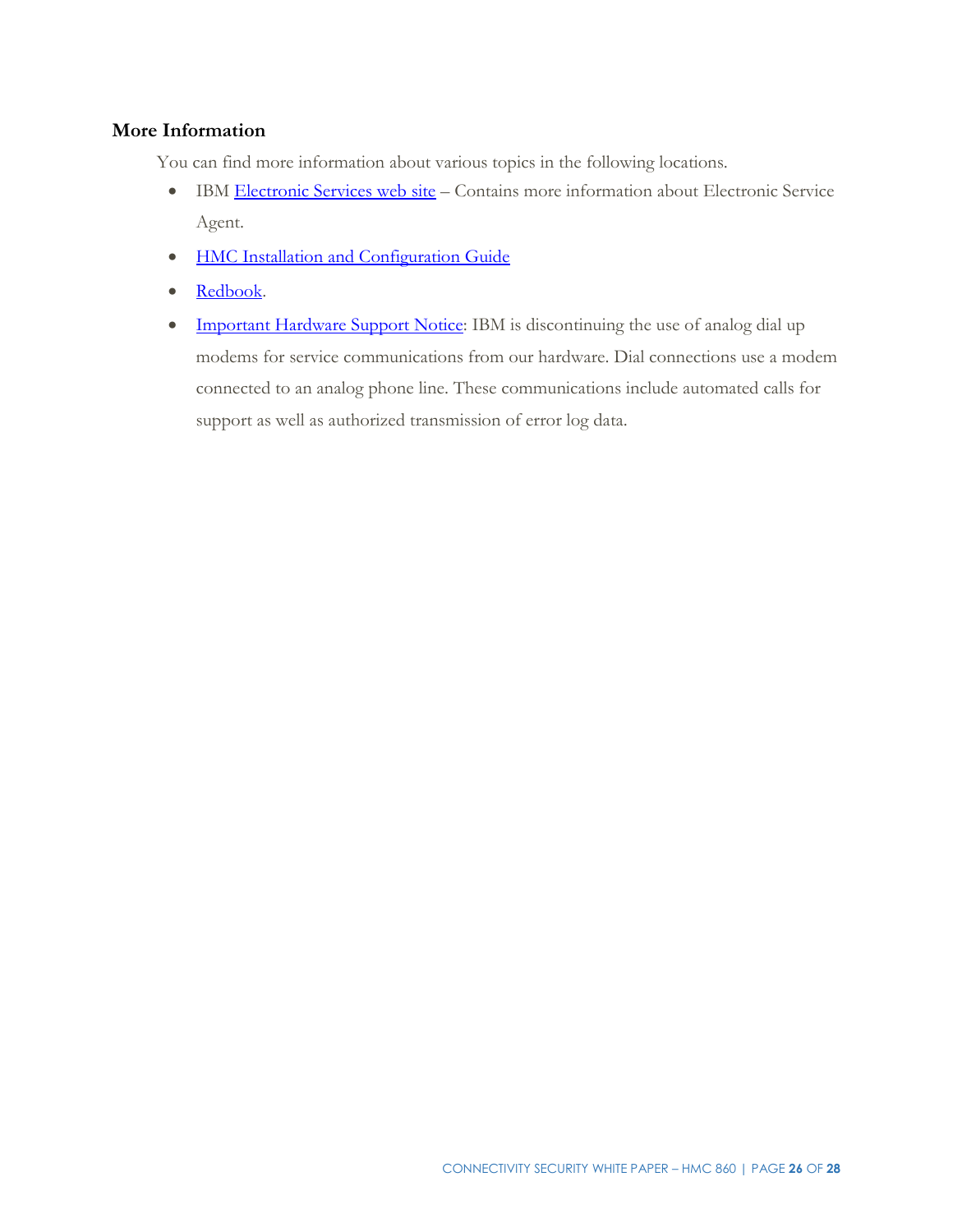#### <span id="page-26-0"></span>**More Information**

You can find more information about various topics in the following locations.

- IBM [Electronic Services web site](http://www-01.ibm.com/support/esa/) Contains more information about Electronic Service Agent.
- [HMC Installation and Configuration Guide](http://www.ibm.com/support/knowledgecenter/en/8247-22L/p8hai/p8hai_kickoff.htm)
- [Redbook.](http://www.redbooks.ibm.com/abstracts/sg247491.html?Open&pdfbookmark)
- [Important Hardware](https://www.ibm.com/developerworks/community/blogs/IBMElectronicSupport/entry/IMPORTANT_HARDWARE_SUPPORT_NOTICE?lang=en) Support Notice: IBM is discontinuing the use of analog dial up modems for service communications from our hardware. Dial connections use a modem connected to an analog phone line. These communications include automated calls for support as well as authorized transmission of error log data.